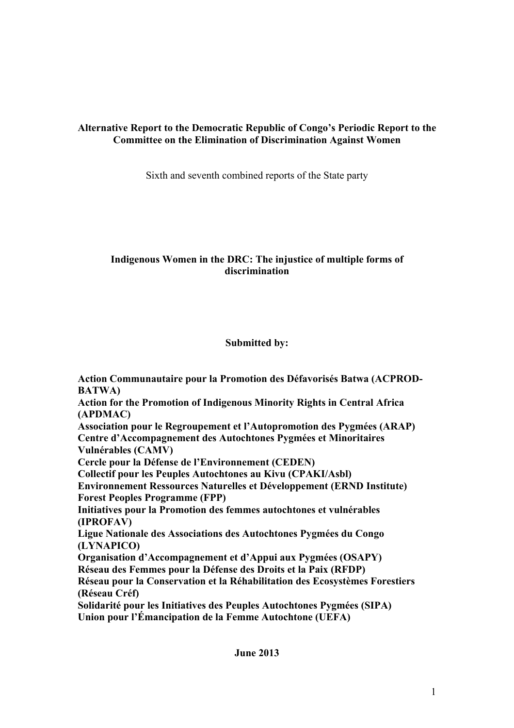# **Alternative Report to the Democratic Republic of Congo's Periodic Report to the Committee on the Elimination of Discrimination Against Women**

Sixth and seventh combined reports of the State party

## **Indigenous Women in the DRC: The injustice of multiple forms of discrimination**

# **Submitted by:**

**Action Communautaire pour la Promotion des Défavorisés Batwa (ACPROD-BATWA) Action for the Promotion of Indigenous Minority Rights in Central Africa (APDMAC) Association pour le Regroupement et l'Autopromotion des Pygmées (ARAP) Centre d'Accompagnement des Autochtones Pygmées et Minoritaires Vulnérables (CAMV) Cercle pour la Défense de l'Environnement (CEDEN) Collectif pour les Peuples Autochtones au Kivu (CPAKI/Asbl) Environnement Ressources Naturelles et Développement (ERND Institute) Forest Peoples Programme (FPP) Initiatives pour la Promotion des femmes autochtones et vulnérables (IPROFAV) Ligue Nationale des Associations des Autochtones Pygmées du Congo (LYNAPICO) Organisation d'Accompagnement et d'Appui aux Pygmées (OSAPY) Réseau des Femmes pour la Défense des Droits et la Paix (RFDP) Réseau pour la Conservation et la Réhabilitation des Ecosystèmes Forestiers (Réseau Créf) Solidarité pour les Initiatives des Peuples Autochtones Pygmées (SIPA)**

**Union pour l'Émancipation de la Femme Autochtone (UEFA)**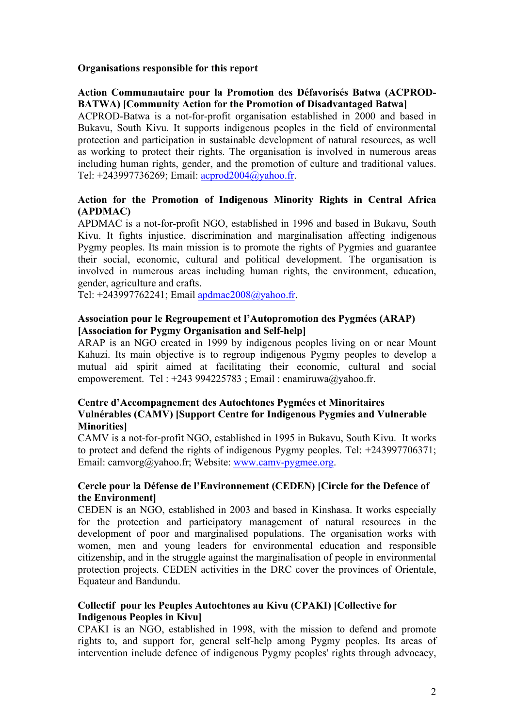#### **Organisations responsible for this report**

## **Action Communautaire pour la Promotion des Défavorisés Batwa (ACPROD-BATWA) [Community Action for the Promotion of Disadvantaged Batwa]**

ACPROD-Batwa is a not-for-profit organisation established in 2000 and based in Bukavu, South Kivu. It supports indigenous peoples in the field of environmental protection and participation in sustainable development of natural resources, as well as working to protect their rights. The organisation is involved in numerous areas including human rights, gender, and the promotion of culture and traditional values. Tel: +243997736269; Email: acprod2004@yahoo.fr.

## **Action for the Promotion of Indigenous Minority Rights in Central Africa (APDMAC)**

APDMAC is a not-for-profit NGO, established in 1996 and based in Bukavu, South Kivu. It fights injustice, discrimination and marginalisation affecting indigenous Pygmy peoples. Its main mission is to promote the rights of Pygmies and guarantee their social, economic, cultural and political development. The organisation is involved in numerous areas including human rights, the environment, education, gender, agriculture and crafts.

Tel: +243997762241; Email apdmac2008@yahoo.fr.

## **Association pour le Regroupement et l'Autopromotion des Pygmées (ARAP) [Association for Pygmy Organisation and Self-help]**

ARAP is an NGO created in 1999 by indigenous peoples living on or near Mount Kahuzi. Its main objective is to regroup indigenous Pygmy peoples to develop a mutual aid spirit aimed at facilitating their economic, cultural and social empowerement. Tel :  $+243994225783$ ; Email : enamiruwa@yahoo.fr.

#### **Centre d'Accompagnement des Autochtones Pygmées et Minoritaires Vulnérables (CAMV) [Support Centre for Indigenous Pygmies and Vulnerable Minorities]**

CAMV is a not-for-profit NGO, established in 1995 in Bukavu, South Kivu. It works to protect and defend the rights of indigenous Pygmy peoples. Tel: +243997706371; Email: camvorg@yahoo.fr; Website: www.camv-pygmee.org.

#### **Cercle pour la Défense de l'Environnement (CEDEN) [Circle for the Defence of the Environment]**

CEDEN is an NGO, established in 2003 and based in Kinshasa. It works especially for the protection and participatory management of natural resources in the development of poor and marginalised populations. The organisation works with women, men and young leaders for environmental education and responsible citizenship, and in the struggle against the marginalisation of people in environmental protection projects. CEDEN activities in the DRC cover the provinces of Orientale, Equateur and Bandundu.

## **Collectif pour les Peuples Autochtones au Kivu (CPAKI) [Collective for Indigenous Peoples in Kivu]**

CPAKI is an NGO, established in 1998, with the mission to defend and promote rights to, and support for, general self-help among Pygmy peoples. Its areas of intervention include defence of indigenous Pygmy peoples' rights through advocacy,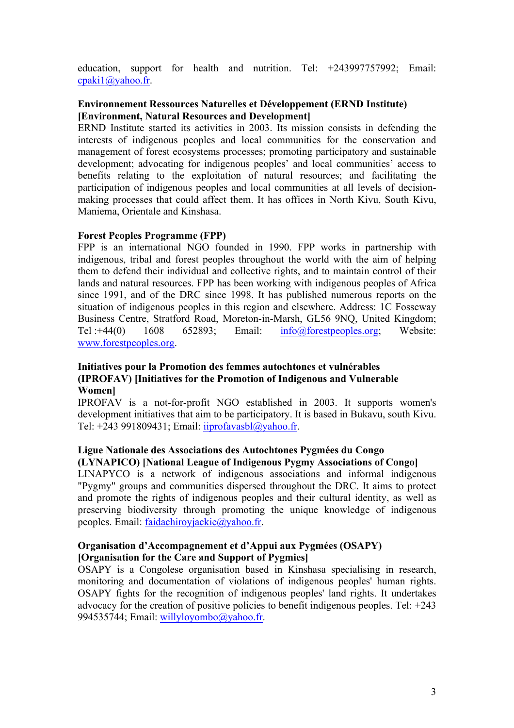education, support for health and nutrition. Tel: +243997757992; Email: cpaki1@yahoo.fr.

## **Environnement Ressources Naturelles et Développement (ERND Institute) [Environment, Natural Resources and Development]**

ERND Institute started its activities in 2003. Its mission consists in defending the interests of indigenous peoples and local communities for the conservation and management of forest ecosystems processes; promoting participatory and sustainable development; advocating for indigenous peoples' and local communities' access to benefits relating to the exploitation of natural resources; and facilitating the participation of indigenous peoples and local communities at all levels of decisionmaking processes that could affect them. It has offices in North Kivu, South Kivu, Maniema, Orientale and Kinshasa.

#### **Forest Peoples Programme (FPP)**

FPP is an international NGO founded in 1990. FPP works in partnership with indigenous, tribal and forest peoples throughout the world with the aim of helping them to defend their individual and collective rights, and to maintain control of their lands and natural resources. FPP has been working with indigenous peoples of Africa since 1991, and of the DRC since 1998. It has published numerous reports on the situation of indigenous peoples in this region and elsewhere. Address: 1C Fosseway Business Centre, Stratford Road, Moreton-in-Marsh, GL56 9NQ, United Kingdom; Tel :+44(0) 1608 652893; Email: info@forestpeoples.org; Website: www.forestpeoples.org.

#### **Initiatives pour la Promotion des femmes autochtones et vulnérables (IPROFAV) [Initiatives for the Promotion of Indigenous and Vulnerable Women]**

IPROFAV is a not-for-profit NGO established in 2003. It supports women's development initiatives that aim to be participatory. It is based in Bukavu, south Kivu. Tel: +243 991809431; Email: iiprofavasbl@yahoo.fr.

#### **Ligue Nationale des Associations des Autochtones Pygmées du Congo (LYNAPICO) [National League of Indigenous Pygmy Associations of Congo]**

LINAPYCO is a network of indigenous associations and informal indigenous "Pygmy" groups and communities dispersed throughout the DRC. It aims to protect and promote the rights of indigenous peoples and their cultural identity, as well as preserving biodiversity through promoting the unique knowledge of indigenous peoples. Email: faidachiroyjackie@yahoo.fr.

#### **Organisation d'Accompagnement et d'Appui aux Pygmées (OSAPY) [Organisation for the Care and Support of Pygmies]**

OSAPY is a Congolese organisation based in Kinshasa specialising in research, monitoring and documentation of violations of indigenous peoples' human rights. OSAPY fights for the recognition of indigenous peoples' land rights. It undertakes advocacy for the creation of positive policies to benefit indigenous peoples. Tel: +243 994535744; Email: willyloyombo@yahoo.fr.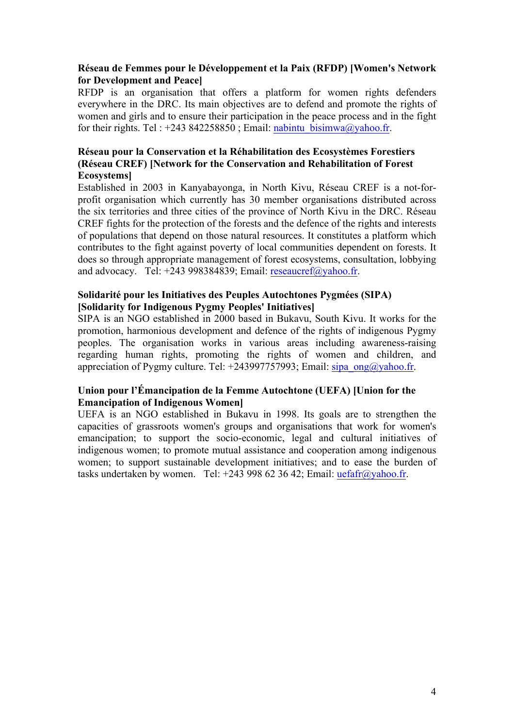#### **Réseau de Femmes pour le Développement et la Paix (RFDP) [Women's Network for Development and Peace]**

RFDP is an organisation that offers a platform for women rights defenders everywhere in the DRC. Its main objectives are to defend and promote the rights of women and girls and to ensure their participation in the peace process and in the fight for their rights. Tel : +243 842258850 ; Email: nabintu\_bisimwa@yahoo.fr.

## **Réseau pour la Conservation et la Réhabilitation des Ecosystèmes Forestiers (Réseau CREF) [Network for the Conservation and Rehabilitation of Forest Ecosystems]**

Established in 2003 in Kanyabayonga, in North Kivu, Réseau CREF is a not-forprofit organisation which currently has 30 member organisations distributed across the six territories and three cities of the province of North Kivu in the DRC. Réseau CREF fights for the protection of the forests and the defence of the rights and interests of populations that depend on those natural resources. It constitutes a platform which contributes to the fight against poverty of local communities dependent on forests. It does so through appropriate management of forest ecosystems, consultation, lobbying and advocacy. Tel: +243 998384839; Email: reseaucref@yahoo.fr.

## **Solidarité pour les Initiatives des Peuples Autochtones Pygmées (SIPA) [Solidarity for Indigenous Pygmy Peoples' Initiatives]**

SIPA is an NGO established in 2000 based in Bukavu, South Kivu. It works for the promotion, harmonious development and defence of the rights of indigenous Pygmy peoples. The organisation works in various areas including awareness-raising regarding human rights, promoting the rights of women and children, and appreciation of Pygmy culture. Tel:  $+243997757993$ ; Email: sipa\_ong@yahoo.fr.

## **Union pour l'Émancipation de la Femme Autochtone (UEFA) [Union for the Emancipation of Indigenous Women]**

UEFA is an NGO established in Bukavu in 1998. Its goals are to strengthen the capacities of grassroots women's groups and organisations that work for women's emancipation; to support the socio-economic, legal and cultural initiatives of indigenous women; to promote mutual assistance and cooperation among indigenous women; to support sustainable development initiatives; and to ease the burden of tasks undertaken by women. Tel: +243 998 62 36 42; Email:  $\text{uefaff}(a\text{yahoo.fr.})$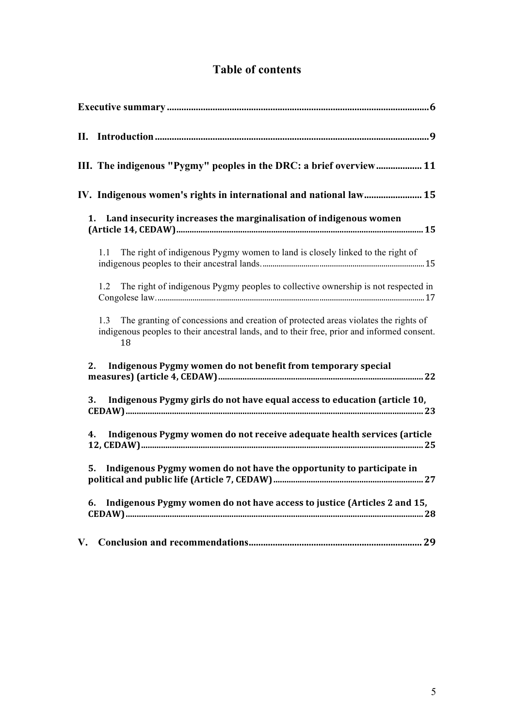# **Table of contents**

|               | III. The indigenous "Pygmy" peoples in the DRC: a brief overview 11                                                                                                                            |
|---------------|------------------------------------------------------------------------------------------------------------------------------------------------------------------------------------------------|
|               | IV. Indigenous women's rights in international and national law 15                                                                                                                             |
|               | Land insecurity increases the marginalisation of indigenous women<br>1.                                                                                                                        |
|               | The right of indigenous Pygmy women to land is closely linked to the right of<br>$1.1 -$                                                                                                       |
|               | The right of indigenous Pygmy peoples to collective ownership is not respected in<br>1.2                                                                                                       |
|               | The granting of concessions and creation of protected areas violates the rights of<br>1.3<br>indigenous peoples to their ancestral lands, and to their free, prior and informed consent.<br>18 |
|               | Indigenous Pygmy women do not benefit from temporary special<br>2.                                                                                                                             |
| 3.            | Indigenous Pygmy girls do not have equal access to education (article 10,                                                                                                                      |
|               | Indigenous Pygmy women do not receive adequate health services (article<br>4.                                                                                                                  |
|               | Indigenous Pygmy women do not have the opportunity to participate in<br>5.                                                                                                                     |
|               | 6. Indigenous Pygmy women do not have access to justice (Articles 2 and 15,                                                                                                                    |
| $V_{\bullet}$ |                                                                                                                                                                                                |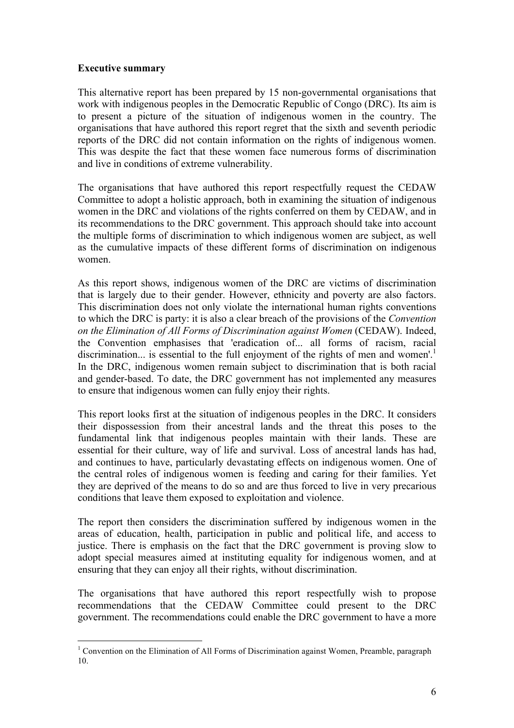#### **Executive summary**

This alternative report has been prepared by 15 non-governmental organisations that work with indigenous peoples in the Democratic Republic of Congo (DRC). Its aim is to present a picture of the situation of indigenous women in the country. The organisations that have authored this report regret that the sixth and seventh periodic reports of the DRC did not contain information on the rights of indigenous women. This was despite the fact that these women face numerous forms of discrimination and live in conditions of extreme vulnerability.

The organisations that have authored this report respectfully request the CEDAW Committee to adopt a holistic approach, both in examining the situation of indigenous women in the DRC and violations of the rights conferred on them by CEDAW, and in its recommendations to the DRC government. This approach should take into account the multiple forms of discrimination to which indigenous women are subject, as well as the cumulative impacts of these different forms of discrimination on indigenous women.

As this report shows, indigenous women of the DRC are victims of discrimination that is largely due to their gender. However, ethnicity and poverty are also factors. This discrimination does not only violate the international human rights conventions to which the DRC is party: it is also a clear breach of the provisions of the *Convention on the Elimination of All Forms of Discrimination against Women* (CEDAW). Indeed, the Convention emphasises that 'eradication of... all forms of racism, racial discrimination... is essential to the full enjoyment of the rights of men and women'.<sup>1</sup> In the DRC, indigenous women remain subject to discrimination that is both racial and gender-based. To date, the DRC government has not implemented any measures to ensure that indigenous women can fully enjoy their rights.

This report looks first at the situation of indigenous peoples in the DRC. It considers their dispossession from their ancestral lands and the threat this poses to the fundamental link that indigenous peoples maintain with their lands. These are essential for their culture, way of life and survival. Loss of ancestral lands has had, and continues to have, particularly devastating effects on indigenous women. One of the central roles of indigenous women is feeding and caring for their families. Yet they are deprived of the means to do so and are thus forced to live in very precarious conditions that leave them exposed to exploitation and violence.

The report then considers the discrimination suffered by indigenous women in the areas of education, health, participation in public and political life, and access to justice. There is emphasis on the fact that the DRC government is proving slow to adopt special measures aimed at instituting equality for indigenous women, and at ensuring that they can enjoy all their rights, without discrimination.

The organisations that have authored this report respectfully wish to propose recommendations that the CEDAW Committee could present to the DRC government. The recommendations could enable the DRC government to have a more

<sup>&</sup>lt;sup>1</sup> Convention on the Elimination of All Forms of Discrimination against Women, Preamble, paragraph 10.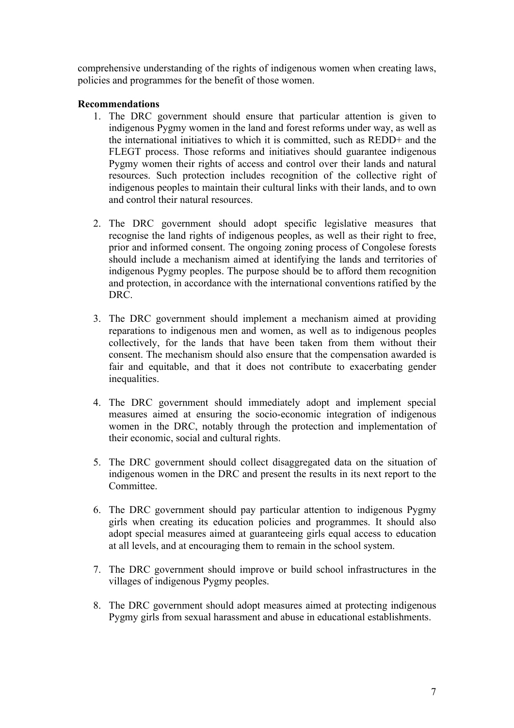comprehensive understanding of the rights of indigenous women when creating laws, policies and programmes for the benefit of those women.

#### **Recommendations**

- 1. The DRC government should ensure that particular attention is given to indigenous Pygmy women in the land and forest reforms under way, as well as the international initiatives to which it is committed, such as REDD+ and the FLEGT process. Those reforms and initiatives should guarantee indigenous Pygmy women their rights of access and control over their lands and natural resources. Such protection includes recognition of the collective right of indigenous peoples to maintain their cultural links with their lands, and to own and control their natural resources.
- 2. The DRC government should adopt specific legislative measures that recognise the land rights of indigenous peoples, as well as their right to free, prior and informed consent. The ongoing zoning process of Congolese forests should include a mechanism aimed at identifying the lands and territories of indigenous Pygmy peoples. The purpose should be to afford them recognition and protection, in accordance with the international conventions ratified by the DRC.
- 3. The DRC government should implement a mechanism aimed at providing reparations to indigenous men and women, as well as to indigenous peoples collectively, for the lands that have been taken from them without their consent. The mechanism should also ensure that the compensation awarded is fair and equitable, and that it does not contribute to exacerbating gender inequalities.
- 4. The DRC government should immediately adopt and implement special measures aimed at ensuring the socio-economic integration of indigenous women in the DRC, notably through the protection and implementation of their economic, social and cultural rights.
- 5. The DRC government should collect disaggregated data on the situation of indigenous women in the DRC and present the results in its next report to the **Committee**
- 6. The DRC government should pay particular attention to indigenous Pygmy girls when creating its education policies and programmes. It should also adopt special measures aimed at guaranteeing girls equal access to education at all levels, and at encouraging them to remain in the school system.
- 7. The DRC government should improve or build school infrastructures in the villages of indigenous Pygmy peoples.
- 8. The DRC government should adopt measures aimed at protecting indigenous Pygmy girls from sexual harassment and abuse in educational establishments.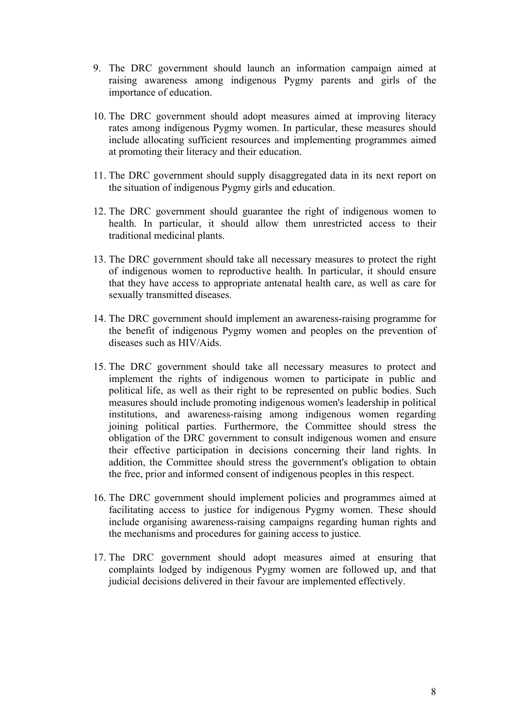- 9. The DRC government should launch an information campaign aimed at raising awareness among indigenous Pygmy parents and girls of the importance of education.
- 10. The DRC government should adopt measures aimed at improving literacy rates among indigenous Pygmy women. In particular, these measures should include allocating sufficient resources and implementing programmes aimed at promoting their literacy and their education.
- 11. The DRC government should supply disaggregated data in its next report on the situation of indigenous Pygmy girls and education.
- 12. The DRC government should guarantee the right of indigenous women to health. In particular, it should allow them unrestricted access to their traditional medicinal plants.
- 13. The DRC government should take all necessary measures to protect the right of indigenous women to reproductive health. In particular, it should ensure that they have access to appropriate antenatal health care, as well as care for sexually transmitted diseases.
- 14. The DRC government should implement an awareness-raising programme for the benefit of indigenous Pygmy women and peoples on the prevention of diseases such as HIV/Aids.
- 15. The DRC government should take all necessary measures to protect and implement the rights of indigenous women to participate in public and political life, as well as their right to be represented on public bodies. Such measures should include promoting indigenous women's leadership in political institutions, and awareness-raising among indigenous women regarding joining political parties. Furthermore, the Committee should stress the obligation of the DRC government to consult indigenous women and ensure their effective participation in decisions concerning their land rights. In addition, the Committee should stress the government's obligation to obtain the free, prior and informed consent of indigenous peoples in this respect.
- 16. The DRC government should implement policies and programmes aimed at facilitating access to justice for indigenous Pygmy women. These should include organising awareness-raising campaigns regarding human rights and the mechanisms and procedures for gaining access to justice.
- 17. The DRC government should adopt measures aimed at ensuring that complaints lodged by indigenous Pygmy women are followed up, and that judicial decisions delivered in their favour are implemented effectively.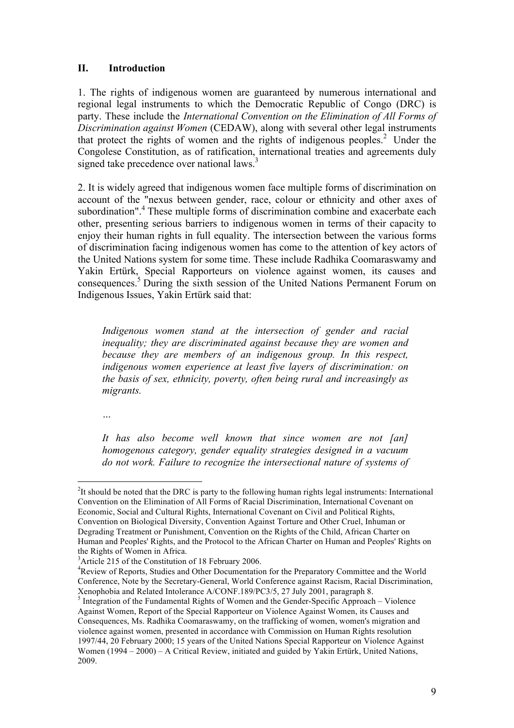#### **II. Introduction**

1. The rights of indigenous women are guaranteed by numerous international and regional legal instruments to which the Democratic Republic of Congo (DRC) is party. These include the *International Convention on the Elimination of All Forms of Discrimination against Women* (CEDAW), along with several other legal instruments that protect the rights of women and the rights of indigenous peoples.<sup>2</sup> Under the Congolese Constitution, as of ratification, international treaties and agreements duly signed take precedence over national laws.<sup>3</sup>

2. It is widely agreed that indigenous women face multiple forms of discrimination on account of the "nexus between gender, race, colour or ethnicity and other axes of subordination". <sup>4</sup> These multiple forms of discrimination combine and exacerbate each other, presenting serious barriers to indigenous women in terms of their capacity to enjoy their human rights in full equality. The intersection between the various forms of discrimination facing indigenous women has come to the attention of key actors of the United Nations system for some time. These include Radhika Coomaraswamy and Yakin Ertürk, Special Rapporteurs on violence against women, its causes and consequences.5 During the sixth session of the United Nations Permanent Forum on Indigenous Issues, Yakin Ertürk said that:

*Indigenous women stand at the intersection of gender and racial inequality; they are discriminated against because they are women and because they are members of an indigenous group. In this respect, indigenous women experience at least five layers of discrimination: on the basis of sex, ethnicity, poverty, often being rural and increasingly as migrants.*

*…*

*It has also become well known that since women are not [an] homogenous category, gender equality strategies designed in a vacuum do not work. Failure to recognize the intersectional nature of systems of* 

 $\frac{1}{2}$ <sup>2</sup>It should be noted that the DRC is party to the following human rights legal instruments: International Convention on the Elimination of All Forms of Racial Discrimination, International Covenant on Economic, Social and Cultural Rights, International Covenant on Civil and Political Rights, Convention on Biological Diversity, Convention Against Torture and Other Cruel, Inhuman or Degrading Treatment or Punishment, Convention on the Rights of the Child, African Charter on Human and Peoples' Rights, and the Protocol to the African Charter on Human and Peoples' Rights on the Rights of Women in Africa.

 $3$ Article 215 of the Constitution of 18 February 2006.

<sup>&</sup>lt;sup>4</sup>Review of Reports, Studies and Other Documentation for the Preparatory Committee and the World Conference, Note by the Secretary-General, World Conference against Racism, Racial Discrimination, Xenophobia and Related Intolerance A/CONF.189/PC3/5, 27 July 2001, paragraph 8.

 $<sup>5</sup>$  Integration of the Fundamental Rights of Women and the Gender-Specific Approach – Violence</sup> Against Women, Report of the Special Rapporteur on Violence Against Women, its Causes and Consequences, Ms. Radhika Coomaraswamy, on the trafficking of women, women's migration and violence against women, presented in accordance with Commission on Human Rights resolution 1997/44, 20 February 2000; 15 years of the United Nations Special Rapporteur on Violence Against Women (1994 – 2000) – A Critical Review, initiated and guided by Yakin Ertürk, United Nations, 2009.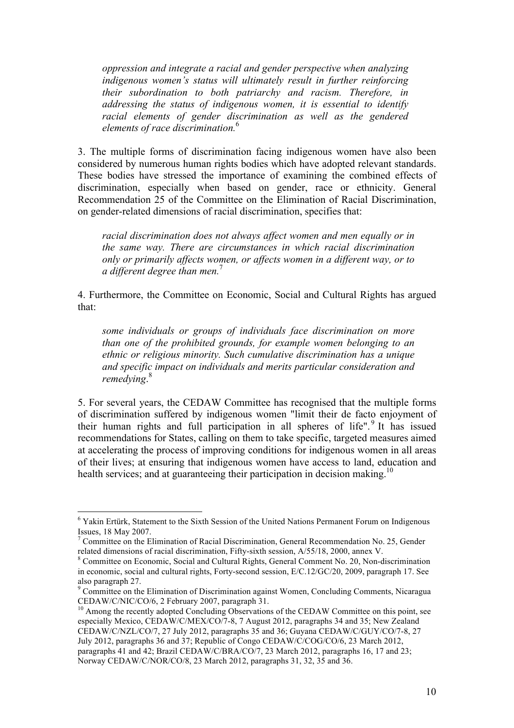*oppression and integrate a racial and gender perspective when analyzing indigenous women's status will ultimately result in further reinforcing their subordination to both patriarchy and racism. Therefore, in addressing the status of indigenous women, it is essential to identify racial elements of gender discrimination as well as the gendered elements of race discrimination.*<sup>6</sup>

3. The multiple forms of discrimination facing indigenous women have also been considered by numerous human rights bodies which have adopted relevant standards. These bodies have stressed the importance of examining the combined effects of discrimination, especially when based on gender, race or ethnicity. General Recommendation 25 of the Committee on the Elimination of Racial Discrimination, on gender-related dimensions of racial discrimination, specifies that:

*racial discrimination does not always affect women and men equally or in the same way. There are circumstances in which racial discrimination only or primarily affects women, or affects women in a different way, or to a different degree than men.*<sup>7</sup>

4. Furthermore, the Committee on Economic, Social and Cultural Rights has argued that:

*some individuals or groups of individuals face discrimination on more than one of the prohibited grounds, for example women belonging to an ethnic or religious minority. Such cumulative discrimination has a unique and specific impact on individuals and merits particular consideration and remedying*. 8

5. For several years, the CEDAW Committee has recognised that the multiple forms of discrimination suffered by indigenous women "limit their de facto enjoyment of their human rights and full participation in all spheres of life".<sup>9</sup> It has issued recommendations for States, calling on them to take specific, targeted measures aimed at accelerating the process of improving conditions for indigenous women in all areas of their lives; at ensuring that indigenous women have access to land, education and health services; and at guaranteeing their participation in decision making.<sup>10</sup>

<sup>&</sup>lt;sup>6</sup> Yakin Ertürk, Statement to the Sixth Session of the United Nations Permanent Forum on Indigenous Issues, 18 May 2007.

<sup>&</sup>lt;sup>7</sup> Committee on the Elimination of Racial Discrimination, General Recommendation No. 25, Gender related dimensions of racial discrimination, Fifty-sixth session, A/55/18, 2000, annex V.<br><sup>8</sup> Committee on Economic, Social and Cultural Rights, General Comment No. 20, Non-discrimination

in economic, social and cultural rights, Forty-second session, E/C.12/GC/20, 2009, paragraph 17. See also paragraph 27.

<sup>&</sup>lt;sup>9</sup> Committee on the Elimination of Discrimination against Women, Concluding Comments, Nicaragua CEDAW/C/NIC/CO/6, 2 February 2007, paragraph 31.<br><sup>10</sup> Among the recently adopted Concluding Observations of the CEDAW Committee on this point, see

especially Mexico, CEDAW/C/MEX/CO/7-8, 7 August 2012, paragraphs 34 and 35; New Zealand CEDAW/C/NZL/CO/7, 27 July 2012, paragraphs 35 and 36; Guyana CEDAW/C/GUY/CO/7-8, 27 July 2012, paragraphs 36 and 37; Republic of Congo CEDAW/C/COG/CO/6, 23 March 2012, paragraphs 41 and 42; Brazil CEDAW/C/BRA/CO/7, 23 March 2012, paragraphs 16, 17 and 23; Norway CEDAW/C/NOR/CO/8, 23 March 2012, paragraphs 31, 32, 35 and 36.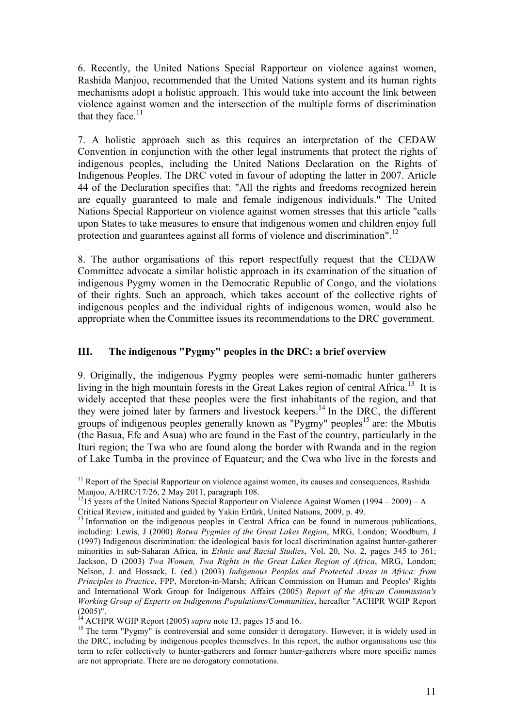6. Recently, the United Nations Special Rapporteur on violence against women, Rashida Manjoo, recommended that the United Nations system and its human rights mechanisms adopt a holistic approach. This would take into account the link between violence against women and the intersection of the multiple forms of discrimination that they face. $11$ 

7. A holistic approach such as this requires an interpretation of the CEDAW Convention in conjunction with the other legal instruments that protect the rights of indigenous peoples, including the United Nations Declaration on the Rights of Indigenous Peoples. The DRC voted in favour of adopting the latter in 2007. Article 44 of the Declaration specifies that: "All the rights and freedoms recognized herein are equally guaranteed to male and female indigenous individuals." The United Nations Special Rapporteur on violence against women stresses that this article "calls upon States to take measures to ensure that indigenous women and children enjoy full protection and guarantees against all forms of violence and discrimination".<sup>12</sup>

8. The author organisations of this report respectfully request that the CEDAW Committee advocate a similar holistic approach in its examination of the situation of indigenous Pygmy women in the Democratic Republic of Congo, and the violations of their rights. Such an approach, which takes account of the collective rights of indigenous peoples and the individual rights of indigenous women, would also be appropriate when the Committee issues its recommendations to the DRC government.

# **III. The indigenous "Pygmy" peoples in the DRC: a brief overview**

9. Originally, the indigenous Pygmy peoples were semi-nomadic hunter gatherers living in the high mountain forests in the Great Lakes region of central Africa.<sup>13</sup> It is widely accepted that these peoples were the first inhabitants of the region, and that they were joined later by farmers and livestock keepers. <sup>14</sup> In the DRC, the different groups of indigenous peoples generally known as "Pygmy" peoples<sup>15</sup> are: the Mbutis (the Basua, Efe and Asua) who are found in the East of the country, particularly in the Ituri region; the Twa who are found along the border with Rwanda and in the region of Lake Tumba in the province of Equateur; and the Cwa who live in the forests and

 $11$  Report of the Special Rapporteur on violence against women, its causes and consequences, Rashida Manjoo, A/HRC/17/26, 2 May 2011, paragraph 108.

<sup>&</sup>lt;sup>12</sup>15 years of the United Nations Special Rapporteur on Violence Against Women (1994 – 2009) – A Critical Review, initiated and guided by Yakin Ertürk, United Nations, 2009, p. 49.

<sup>&</sup>lt;sup>13</sup> Information on the indigenous peoples in Central Africa can be found in numerous publications, including: Lewis, J (2000) *Batwa Pygmies of the Great Lakes Region*, MRG, London; Woodburn, J (1997) Indigenous discrimination: the ideological basis for local discrimination against hunter-gatherer minorities in sub-Saharan Africa, in *Ethnic and Racial Studies*, Vol. 20, No. 2, pages 345 to 361; Jackson, D (2003) *Twa Women, Twa Rights in the Great Lakes Region of Africa*, MRG, London; Nelson, J. and Hossack, L (ed.) (2003) *Indigenous Peoples and Protected Areas in Africa: from Principles to Practice*, FPP, Moreton-in-Marsh; African Commission on Human and Peoples' Rights and International Work Group for Indigenous Affairs (2005) *Report of the African Commission's Working Group of Experts on Indigenous Populations/Communities*, hereafter "ACHPR WGIP Report  $(2005)$ ".<br><sup>14</sup> ACHPR WGIP Report (2005) *supra* note 13, pages 15 and 16.

<sup>&</sup>lt;sup>15</sup> The term "Pygmy" is controversial and some consider it derogatory. However, it is widely used in the DRC, including by indigenous peoples themselves. In this report, the author organisations use this term to refer collectively to hunter-gatherers and former hunter-gatherers where more specific names are not appropriate. There are no derogatory connotations.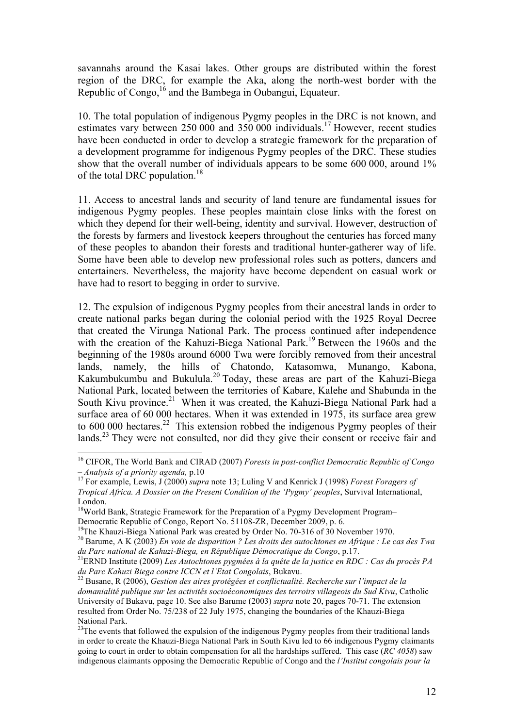savannahs around the Kasai lakes. Other groups are distributed within the forest region of the DRC, for example the Aka, along the north-west border with the Republic of Congo,  $^{16}$  and the Bambega in Oubangui, Equateur.

10. The total population of indigenous Pygmy peoples in the DRC is not known, and estimates vary between 250 000 and 350 000 individuals.17 However, recent studies have been conducted in order to develop a strategic framework for the preparation of a development programme for indigenous Pygmy peoples of the DRC. These studies show that the overall number of individuals appears to be some 600 000, around 1% of the total DRC population.<sup>18</sup>

11. Access to ancestral lands and security of land tenure are fundamental issues for indigenous Pygmy peoples. These peoples maintain close links with the forest on which they depend for their well-being, identity and survival. However, destruction of the forests by farmers and livestock keepers throughout the centuries has forced many of these peoples to abandon their forests and traditional hunter-gatherer way of life. Some have been able to develop new professional roles such as potters, dancers and entertainers. Nevertheless, the majority have become dependent on casual work or have had to resort to begging in order to survive.

12. The expulsion of indigenous Pygmy peoples from their ancestral lands in order to create national parks began during the colonial period with the 1925 Royal Decree that created the Virunga National Park. The process continued after independence with the creation of the Kahuzi-Biega National Park.<sup>19</sup> Between the 1960s and the beginning of the 1980s around 6000 Twa were forcibly removed from their ancestral lands, namely, the hills of Chatondo, Katasomwa, Munango, Kabona, Kakumbukumbu and Bukulula.<sup>20</sup> Today, these areas are part of the Kahuzi-Biega National Park, located between the territories of Kabare, Kalehe and Shabunda in the South Kivu province.<sup>21</sup> When it was created, the Kahuzi-Biega National Park had a surface area of 60 000 hectares. When it was extended in 1975, its surface area grew to  $600\,000$  hectares.<sup>22</sup> This extension robbed the indigenous Pygmy peoples of their lands.<sup>23</sup> They were not consulted, nor did they give their consent or receive fair and

<sup>&</sup>lt;sup>16</sup> CIFOR, The World Bank and CIRAD (2007) *Forests in post-conflict Democratic Republic of Congo*  $-$  *Analysis of a priority agenda,* p.10

*<sup>–</sup> Analysis of a priority agenda,* p.10 <sup>17</sup> For example, Lewis, J (2000) *supra* note 13; Luling V and Kenrick J (1998) *Forest Foragers of Tropical Africa. A Dossier on the Present Condition of the 'Pygmy' peoples*, Survival International, London.

<sup>&</sup>lt;sup>18</sup>World Bank, Strategic Framework for the Preparation of a Pygmy Development Program–

Democratic Republic of Congo, Report No. 51108-ZR, December 2009, p. 6.<br><sup>19</sup>The Khauzi-Biega National Park was created by Order No. 70-316 of 30 November 1970.<br><sup>20</sup> Barume, A K (2003) *En voie de disparition ? Les droits d* 

*du Parc national de Kahuzi-Biega, en République Démocratique du Congo*, p.17. 21ERND Institute (2009) *Les Autochtones pygmées à la quête de la justice en RDC : Cas du procès PA du Parc Kahuzi Biega contre ICCN et l'Etat Congolais*, Bukavu. <sup>22</sup> Busane, R (2006), *Gestion des aires protégées et conflictualité. Recherche sur l'impact de la* 

*domanialité publique sur les activités socioéconomiques des terroirs villageois du Sud Kivu*, Catholic University of Bukavu, page 10. See also Barume (2003) *supra* note 20, pages 70-71. The extension resulted from Order No. 75/238 of 22 July 1975, changing the boundaries of the Khauzi-Biega National Park.

 $^{23}$ The events that followed the expulsion of the indigenous Pygmy peoples from their traditional lands in order to create the Khauzi-Biega National Park in South Kivu led to 66 indigenous Pygmy claimants going to court in order to obtain compensation for all the hardships suffered. This case (*RC 4058*) saw indigenous claimants opposing the Democratic Republic of Congo and the *l'Institut congolais pour la*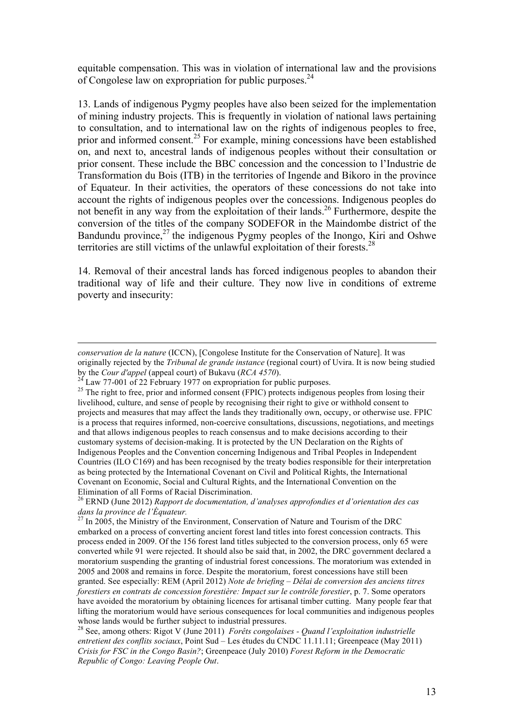equitable compensation. This was in violation of international law and the provisions of Congolese law on expropriation for public purposes.<sup>24</sup>

13. Lands of indigenous Pygmy peoples have also been seized for the implementation of mining industry projects. This is frequently in violation of national laws pertaining to consultation, and to international law on the rights of indigenous peoples to free, prior and informed consent. <sup>25</sup> For example, mining concessions have been established on, and next to, ancestral lands of indigenous peoples without their consultation or prior consent. These include the BBC concession and the concession to l'Industrie de Transformation du Bois (ITB) in the territories of Ingende and Bikoro in the province of Equateur. In their activities, the operators of these concessions do not take into account the rights of indigenous peoples over the concessions. Indigenous peoples do not benefit in any way from the exploitation of their lands.<sup>26</sup> Furthermore, despite the conversion of the titles of the company SODEFOR in the Maindombe district of the Bandundu province, $^{27}$  the indigenous Pygmy peoples of the Inongo, Kiri and Oshwe territories are still victims of the unlawful exploitation of their forests.<sup>28</sup>

14. Removal of their ancestral lands has forced indigenous peoples to abandon their traditional way of life and their culture. They now live in conditions of extreme poverty and insecurity:

 $\overline{a}$ 

*conservation de la nature* (ICCN), [Congolese Institute for the Conservation of Nature]. It was originally rejected by the *Tribunal de grande instance* (regional court) of Uvira. It is now being studied by the *Cour d'appel* (appeal court) of Bukavu (*RCA 4570*).<br><sup>24</sup> Law 77-001 of 22 February 1977 on expropriation for public purposes.<br><sup>25</sup> The right to free, prior and informed consent (FPIC) protects indigenous peoples

livelihood, culture, and sense of people by recognising their right to give or withhold consent to projects and measures that may affect the lands they traditionally own, occupy, or otherwise use. FPIC is a process that requires informed, non-coercive consultations, discussions, negotiations, and meetings and that allows indigenous peoples to reach consensus and to make decisions according to their customary systems of decision-making. It is protected by the UN Declaration on the Rights of Indigenous Peoples and the Convention concerning Indigenous and Tribal Peoples in Independent Countries (ILO C169) and has been recognised by the treaty bodies responsible for their interpretation as being protected by the International Covenant on Civil and Political Rights, the International Covenant on Economic, Social and Cultural Rights, and the International Convention on the Elimination of all Forms of Racial Discrimination.

<sup>26</sup> ERND (June 2012) *Rapport de documentation, d'analyses approfondies et d'orientation des cas dans la province de l'Équateur.*

 $2^{27}$  In 2005, the Ministry of the Environment, Conservation of Nature and Tourism of the DRC embarked on a process of converting ancient forest land titles into forest concession contracts. This process ended in 2009. Of the 156 forest land titles subjected to the conversion process, only 65 were converted while 91 were rejected. It should also be said that, in 2002, the DRC government declared a moratorium suspending the granting of industrial forest concessions. The moratorium was extended in 2005 and 2008 and remains in force. Despite the moratorium, forest concessions have still been granted. See especially: REM (April 2012) *Note de briefing – Délai de conversion des anciens titres forestiers en contrats de concession forestière: Impact sur le contrôle forestier*, p. 7. Some operators have avoided the moratorium by obtaining licences for artisanal timber cutting. Many people fear that lifting the moratorium would have serious consequences for local communities and indigenous peoples whose lands would be further subject to industrial pressures.

<sup>28</sup> See, among others: Rigot V (June 2011) *Forêts congolaises - Quand l'exploitation industrielle entretient des conflits sociaux*, Point Sud – Les études du CNDC 11.11.11; Greenpeace (May 2011) *Crisis for FSC in the Congo Basin?*; Greenpeace (July 2010) *Forest Reform in the Democratic Republic of Congo: Leaving People Out*.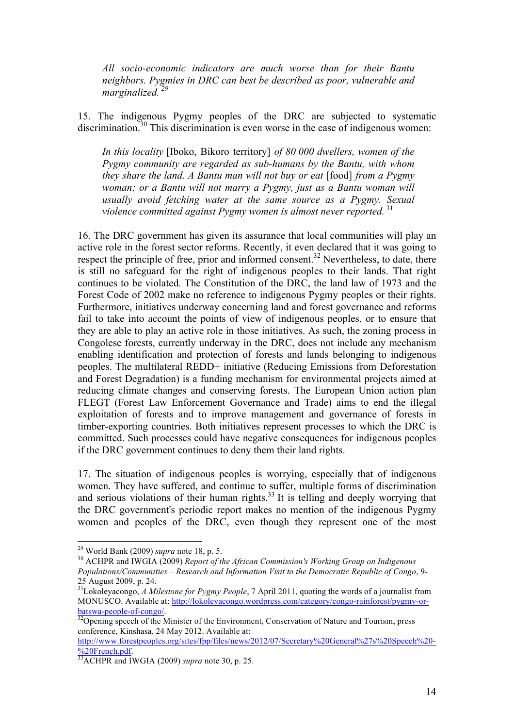*All socio-economic indicators are much worse than for their Bantu neighbors. Pygmies in DRC can best be described as poor, vulnerable and marginalized. 29*

15. The indigenous Pygmy peoples of the DRC are subjected to systematic discrimination.<sup>30</sup> This discrimination is even worse in the case of indigenous women:

*In this locality* [Iboko, Bikoro territory] *of 80 000 dwellers, women of the Pygmy community are regarded as sub-humans by the Bantu, with whom they share the land. A Bantu man will not buy or eat* [food] *from a Pygmy woman; or a Bantu will not marry a Pygmy, just as a Bantu woman will usually avoid fetching water at the same source as a Pygmy. Sexual violence committed against Pygmy women is almost never reported.* <sup>31</sup>

16. The DRC government has given its assurance that local communities will play an active role in the forest sector reforms. Recently, it even declared that it was going to respect the principle of free, prior and informed consent.<sup>32</sup> Nevertheless, to date, there is still no safeguard for the right of indigenous peoples to their lands. That right continues to be violated. The Constitution of the DRC, the land law of 1973 and the Forest Code of 2002 make no reference to indigenous Pygmy peoples or their rights. Furthermore, initiatives underway concerning land and forest governance and reforms fail to take into account the points of view of indigenous peoples, or to ensure that they are able to play an active role in those initiatives. As such, the zoning process in Congolese forests, currently underway in the DRC, does not include any mechanism enabling identification and protection of forests and lands belonging to indigenous peoples. The multilateral REDD+ initiative (Reducing Emissions from Deforestation and Forest Degradation) is a funding mechanism for environmental projects aimed at reducing climate changes and conserving forests. The European Union action plan FLEGT (Forest Law Enforcement Governance and Trade) aims to end the illegal exploitation of forests and to improve management and governance of forests in timber-exporting countries. Both initiatives represent processes to which the DRC is committed. Such processes could have negative consequences for indigenous peoples if the DRC government continues to deny them their land rights.

17. The situation of indigenous peoples is worrying, especially that of indigenous women. They have suffered, and continue to suffer, multiple forms of discrimination and serious violations of their human rights. $33$  It is telling and deeply worrying that the DRC government's periodic report makes no mention of the indigenous Pygmy women and peoples of the DRC, even though they represent one of the most

<sup>&</sup>lt;sup>29</sup> World Bank (2009) *supra* note 18, p. 5.<br><sup>30</sup> ACHPR and IWGIA (2009) *Report of the African Commission's Working Group on Indigenous Populations/Communities – Research and Information Visit to the Democratic Republic of Congo*, 9- 25 August 2009, p. 24.

<sup>&</sup>lt;sup>31</sup>Lokoleyacongo, *A Milestone for Pygmy People*, 7 April 2011, quoting the words of a journalist from MONUSCO. Available at: http://lokoleyacongo.wordpress.com/category/congo-rainforest/pygmy-orbatswa-people-of-congo/.<br><sup>32</sup>Opening speech of the Minister of the Environment, Conservation of Nature and Tourism, press

conference, Kinshasa, 24 May 2012. Available at:

http://www.forestpeoples.org/sites/fpp/files/news/2012/07/Secretary%20General%27s%20Speech%20- <sup>9</sup>/<sub>0</sub>20French.pdf. <sup>33</sup>ACHPR and IWGIA (2009) *supra* note 30, p. 25.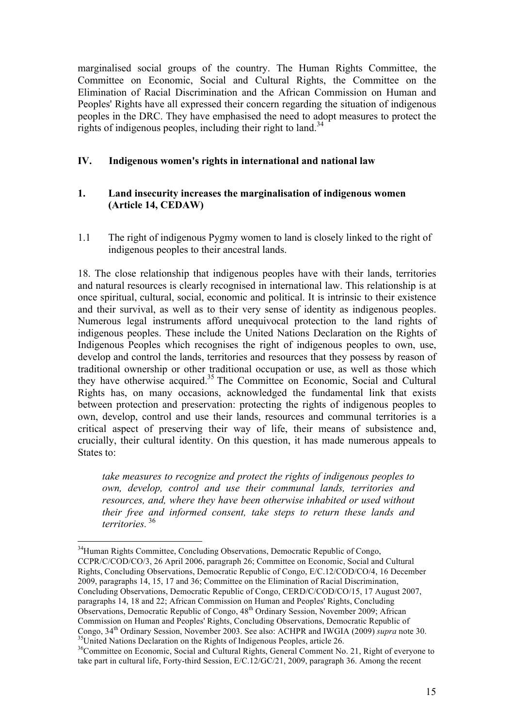marginalised social groups of the country. The Human Rights Committee, the Committee on Economic, Social and Cultural Rights, the Committee on the Elimination of Racial Discrimination and the African Commission on Human and Peoples' Rights have all expressed their concern regarding the situation of indigenous peoples in the DRC. They have emphasised the need to adopt measures to protect the rights of indigenous peoples, including their right to land.<sup>34</sup>

## **IV. Indigenous women's rights in international and national law**

## **1. Land insecurity increases the marginalisation of indigenous women (Article 14, CEDAW)**

1.1 The right of indigenous Pygmy women to land is closely linked to the right of indigenous peoples to their ancestral lands.

18. The close relationship that indigenous peoples have with their lands, territories and natural resources is clearly recognised in international law. This relationship is at once spiritual, cultural, social, economic and political. It is intrinsic to their existence and their survival, as well as to their very sense of identity as indigenous peoples. Numerous legal instruments afford unequivocal protection to the land rights of indigenous peoples. These include the United Nations Declaration on the Rights of Indigenous Peoples which recognises the right of indigenous peoples to own, use, develop and control the lands, territories and resources that they possess by reason of traditional ownership or other traditional occupation or use, as well as those which they have otherwise acquired.35 The Committee on Economic, Social and Cultural Rights has, on many occasions, acknowledged the fundamental link that exists between protection and preservation: protecting the rights of indigenous peoples to own, develop, control and use their lands, resources and communal territories is a critical aspect of preserving their way of life, their means of subsistence and, crucially, their cultural identity. On this question, it has made numerous appeals to States to:

*take measures to recognize and protect the rights of indigenous peoples to own, develop, control and use their communal lands, territories and resources, and, where they have been otherwise inhabited or used without their free and informed consent, take steps to return these lands and territories.* <sup>36</sup>

<sup>&</sup>lt;sup>34</sup>Human Rights Committee, Concluding Observations, Democratic Republic of Congo, CCPR/C/COD/CO/3, 26 April 2006, paragraph 26; Committee on Economic, Social and Cultural Rights, Concluding Observations, Democratic Republic of Congo, E/C.12/COD/CO/4, 16 December 2009, paragraphs 14, 15, 17 and 36; Committee on the Elimination of Racial Discrimination, Concluding Observations, Democratic Republic of Congo, CERD/C/COD/CO/15, 17 August 2007, paragraphs 14, 18 and 22; African Commission on Human and Peoples' Rights, Concluding Observations, Democratic Republic of Congo, 48th Ordinary Session, November 2009; African Commission on Human and Peoples' Rights, Concluding Observations, Democratic Republic of Congo,  $34<sup>th</sup>$  Ordinary Session, November 2003. See also: ACHPR and IWGIA (2009) *supra* note 30. <sup>35</sup>United Nations Declaration on the Rights of Indigenous Peoples, article 26.

<sup>&</sup>lt;sup>36</sup>Committee on Economic, Social and Cultural Rights, General Comment No. 21, Right of everyone to take part in cultural life, Forty-third Session, E/C.12/GC/21, 2009, paragraph 36. Among the recent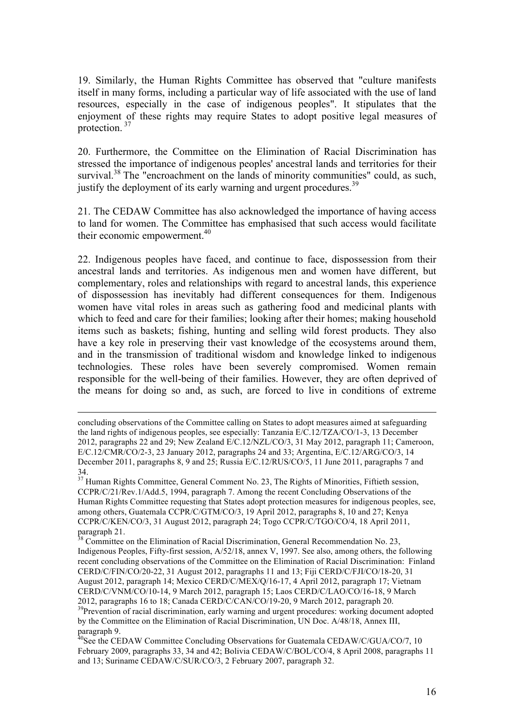19. Similarly, the Human Rights Committee has observed that "culture manifests itself in many forms, including a particular way of life associated with the use of land resources, especially in the case of indigenous peoples". It stipulates that the enjoyment of these rights may require States to adopt positive legal measures of protection.<sup>37</sup>

20. Furthermore, the Committee on the Elimination of Racial Discrimination has stressed the importance of indigenous peoples' ancestral lands and territories for their survival.<sup>38</sup> The "encroachment on the lands of minority communities" could, as such, justify the deployment of its early warning and urgent procedures.<sup>39</sup>

21. The CEDAW Committee has also acknowledged the importance of having access to land for women. The Committee has emphasised that such access would facilitate their economic empowerment.<sup>40</sup>

22. Indigenous peoples have faced, and continue to face, dispossession from their ancestral lands and territories. As indigenous men and women have different, but complementary, roles and relationships with regard to ancestral lands, this experience of dispossession has inevitably had different consequences for them. Indigenous women have vital roles in areas such as gathering food and medicinal plants with which to feed and care for their families; looking after their homes; making household items such as baskets; fishing, hunting and selling wild forest products. They also have a key role in preserving their vast knowledge of the ecosystems around them, and in the transmission of traditional wisdom and knowledge linked to indigenous technologies. These roles have been severely compromised. Women remain responsible for the well-being of their families. However, they are often deprived of the means for doing so and, as such, are forced to live in conditions of extreme

 $\overline{a}$ 

concluding observations of the Committee calling on States to adopt measures aimed at safeguarding the land rights of indigenous peoples, see especially: Tanzania E/C.12/TZA/CO/1-3, 13 December 2012, paragraphs 22 and 29; New Zealand E/C.12/NZL/CO/3, 31 May 2012, paragraph 11; Cameroon, E/C.12/CMR/CO/2-3, 23 January 2012, paragraphs 24 and 33; Argentina, E/C.12/ARG/CO/3, 14 December 2011, paragraphs 8, 9 and 25; Russia E/C.12/RUS/CO/5, 11 June 2011, paragraphs 7 and

<sup>34.&</sup>lt;br><sup>37</sup> Human Rights Committee, General Comment No. 23, The Rights of Minorities, Fiftieth session, CCPR/C/21/Rev.1/Add.5, 1994, paragraph 7. Among the recent Concluding Observations of the Human Rights Committee requesting that States adopt protection measures for indigenous peoples, see, among others, Guatemala CCPR/C/GTM/CO/3, 19 April 2012, paragraphs 8, 10 and 27; Kenya CCPR/C/KEN/CO/3, 31 August 2012, paragraph 24; Togo CCPR/C/TGO/CO/4, 18 April 2011, paragraph 21.

 $38$  Committee on the Elimination of Racial Discrimination, General Recommendation No. 23, Indigenous Peoples, Fifty-first session, A/52/18, annex V, 1997. See also, among others, the following recent concluding observations of the Committee on the Elimination of Racial Discrimination: Finland CERD/C/FIN/CO/20-22, 31 August 2012, paragraphs 11 and 13; Fiji CERD/C/FJI/CO/18-20, 31 August 2012, paragraph 14; Mexico CERD/C/MEX/Q/16-17, 4 April 2012, paragraph 17; Vietnam CERD/C/VNM/CO/10-14, 9 March 2012, paragraph 15; Laos CERD/C/LAO/CO/16-18, 9 March 2012, paragraphs 16 to 18; Canada CERD/C/CAN/CO/19-20, 9 March 2012, paragraph 20.<br><sup>39</sup>Prevention of racial discrimination, early warning and urgent procedures: working document adopted

by the Committee on the Elimination of Racial Discrimination, UN Doc. A/48/18, Annex III, paragraph 9.

 $^{40}$ See the CEDAW Committee Concluding Observations for Guatemala CEDAW/C/GUA/CO/7, 10 February 2009, paragraphs 33, 34 and 42; Bolivia CEDAW/C/BOL/CO/4, 8 April 2008, paragraphs 11 and 13; Suriname CEDAW/C/SUR/CO/3, 2 February 2007, paragraph 32.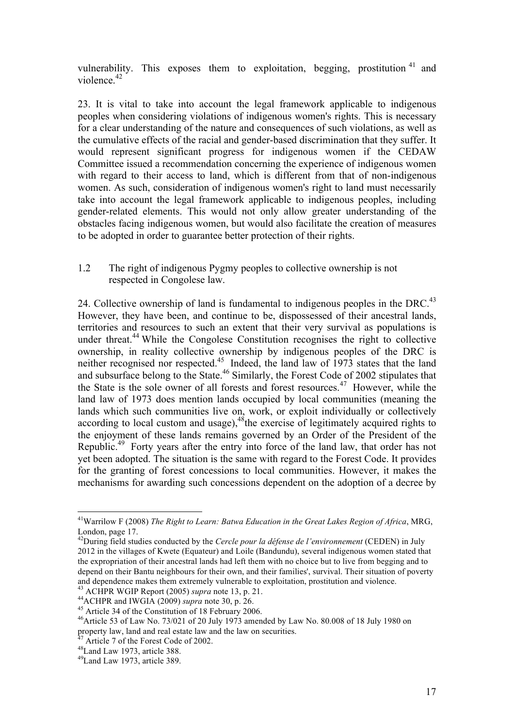vulnerability. This exposes them to exploitation, begging, prostitution  $41$  and violence.<sup>42</sup>

23. It is vital to take into account the legal framework applicable to indigenous peoples when considering violations of indigenous women's rights. This is necessary for a clear understanding of the nature and consequences of such violations, as well as the cumulative effects of the racial and gender-based discrimination that they suffer. It would represent significant progress for indigenous women if the CEDAW Committee issued a recommendation concerning the experience of indigenous women with regard to their access to land, which is different from that of non-indigenous women. As such, consideration of indigenous women's right to land must necessarily take into account the legal framework applicable to indigenous peoples, including gender-related elements. This would not only allow greater understanding of the obstacles facing indigenous women, but would also facilitate the creation of measures to be adopted in order to guarantee better protection of their rights.

#### 1.2 The right of indigenous Pygmy peoples to collective ownership is not respected in Congolese law.

24. Collective ownership of land is fundamental to indigenous peoples in the DRC.<sup>43</sup> However, they have been, and continue to be, dispossessed of their ancestral lands, territories and resources to such an extent that their very survival as populations is under threat.<sup>44</sup> While the Congolese Constitution recognises the right to collective ownership, in reality collective ownership by indigenous peoples of the DRC is neither recognised nor respected.<sup>45</sup> Indeed, the land law of  $1973$  states that the land and subsurface belong to the State.<sup>46</sup> Similarly, the Forest Code of 2002 stipulates that the State is the sole owner of all forests and forest resources. <sup>47</sup> However, while the land law of 1973 does mention lands occupied by local communities (meaning the lands which such communities live on, work, or exploit individually or collectively according to local custom and usage),  $48$ the exercise of legitimately acquired rights to the enjoyment of these lands remains governed by an Order of the President of the Republic.49 Forty years after the entry into force of the land law, that order has not yet been adopted. The situation is the same with regard to the Forest Code. It provides for the granting of forest concessions to local communities. However, it makes the mechanisms for awarding such concessions dependent on the adoption of a decree by

 <sup>41</sup>Warrilow F (2008) *The Right to Learn: Batwa Education in the Great Lakes Region of Africa*, MRG, London, page 17. 42During field studies conducted by the *Cercle pour la défense de l'environnement* (CEDEN) in July

<sup>2012</sup> in the villages of Kwete (Equateur) and Loile (Bandundu), several indigenous women stated that the expropriation of their ancestral lands had left them with no choice but to live from begging and to depend on their Bantu neighbours for their own, and their families', survival. Their situation of poverty and dependence makes them extremely vulnerable to exploitation, prostitution and violence.<br><sup>43</sup> ACHPR WGIP Report (2005) *supra* note 13, p. 21.

<sup>&</sup>lt;sup>44</sup>ACHPR and IWGIA (2009) *supra* note 30, p. 26.<br><sup>45</sup> Article 34 of the Constitution of 18 February 2006.<br><sup>46</sup>Article 53 of Law No. 73/021 of 20 July 1973 amended by Law No. 80.008 of 18 July 1980 on property law, land and real estate law and the law on securities.<br><sup>47</sup> Article 7 of the Forest Code of 2002.<br><sup>48</sup>Land Law 1973, article 388.

<sup>49</sup>Land Law 1973, article 389.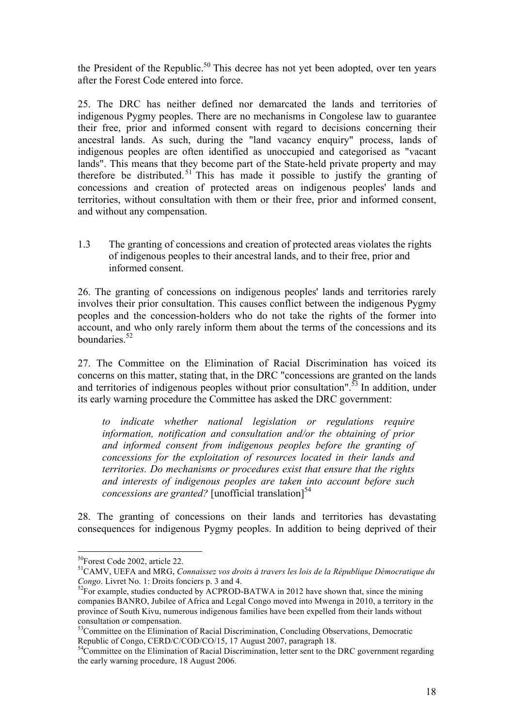the President of the Republic.<sup>50</sup> This decree has not yet been adopted, over ten years after the Forest Code entered into force.

25. The DRC has neither defined nor demarcated the lands and territories of indigenous Pygmy peoples. There are no mechanisms in Congolese law to guarantee their free, prior and informed consent with regard to decisions concerning their ancestral lands. As such, during the "land vacancy enquiry" process, lands of indigenous peoples are often identified as unoccupied and categorised as "vacant lands". This means that they become part of the State-held private property and may therefore be distributed.<sup>51</sup> This has made it possible to justify the granting of concessions and creation of protected areas on indigenous peoples' lands and territories, without consultation with them or their free, prior and informed consent, and without any compensation.

1.3 The granting of concessions and creation of protected areas violates the rights of indigenous peoples to their ancestral lands, and to their free, prior and informed consent.

26. The granting of concessions on indigenous peoples' lands and territories rarely involves their prior consultation. This causes conflict between the indigenous Pygmy peoples and the concession-holders who do not take the rights of the former into account, and who only rarely inform them about the terms of the concessions and its boundaries. 52

27. The Committee on the Elimination of Racial Discrimination has voiced its concerns on this matter, stating that, in the DRC "concessions are granted on the lands and territories of indigenous peoples without prior consultation".<sup>53</sup> In addition, under its early warning procedure the Committee has asked the DRC government:

*to indicate whether national legislation or regulations require information, notification and consultation and/or the obtaining of prior and informed consent from indigenous peoples before the granting of concessions for the exploitation of resources located in their lands and territories. Do mechanisms or procedures exist that ensure that the rights and interests of indigenous peoples are taken into account before such concessions are granted?* [unofficial translation]<sup>54</sup>

28. The granting of concessions on their lands and territories has devastating consequences for indigenous Pygmy peoples. In addition to being deprived of their

 <sup>50</sup>Forest Code 2002, article 22.

<sup>51</sup>CAMV, UEFA and MRG, *Connaissez vos droits à travers les lois de la République Démocratique du* 

 $^{52}$ For example, studies conducted by ACPROD-BATWA in 2012 have shown that, since the mining companies BANRO, Jubilee of Africa and Legal Congo moved into Mwenga in 2010, a territory in the province of South Kivu, numerous indigenous families have been expelled from their lands without consultation or compensation.

<sup>&</sup>lt;sup>53</sup>Committee on the Elimination of Racial Discrimination, Concluding Observations, Democratic Republic of Congo, CERD/C/COD/CO/15, 17 August 2007, paragraph 18.

 $K^2$ Committee on the Elimination of Racial Discrimination, letter sent to the DRC government regarding the early warning procedure, 18 August 2006.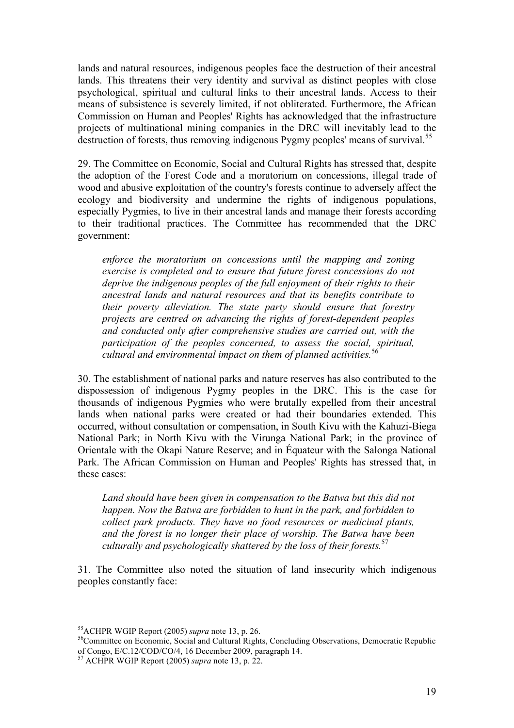lands and natural resources, indigenous peoples face the destruction of their ancestral lands. This threatens their very identity and survival as distinct peoples with close psychological, spiritual and cultural links to their ancestral lands. Access to their means of subsistence is severely limited, if not obliterated. Furthermore, the African Commission on Human and Peoples' Rights has acknowledged that the infrastructure projects of multinational mining companies in the DRC will inevitably lead to the destruction of forests, thus removing indigenous Pygmy peoples' means of survival.<sup>55</sup>

29. The Committee on Economic, Social and Cultural Rights has stressed that, despite the adoption of the Forest Code and a moratorium on concessions, illegal trade of wood and abusive exploitation of the country's forests continue to adversely affect the ecology and biodiversity and undermine the rights of indigenous populations, especially Pygmies, to live in their ancestral lands and manage their forests according to their traditional practices. The Committee has recommended that the DRC government:

*enforce the moratorium on concessions until the mapping and zoning exercise is completed and to ensure that future forest concessions do not deprive the indigenous peoples of the full enjoyment of their rights to their ancestral lands and natural resources and that its benefits contribute to their poverty alleviation. The state party should ensure that forestry projects are centred on advancing the rights of forest-dependent peoples and conducted only after comprehensive studies are carried out, with the participation of the peoples concerned, to assess the social, spiritual, cultural and environmental impact on them of planned activities.*<sup>56</sup>

30. The establishment of national parks and nature reserves has also contributed to the dispossession of indigenous Pygmy peoples in the DRC. This is the case for thousands of indigenous Pygmies who were brutally expelled from their ancestral lands when national parks were created or had their boundaries extended. This occurred, without consultation or compensation, in South Kivu with the Kahuzi-Biega National Park; in North Kivu with the Virunga National Park; in the province of Orientale with the Okapi Nature Reserve; and in Équateur with the Salonga National Park. The African Commission on Human and Peoples' Rights has stressed that, in these cases:

*Land should have been given in compensation to the Batwa but this did not happen. Now the Batwa are forbidden to hunt in the park, and forbidden to collect park products. They have no food resources or medicinal plants, and the forest is no longer their place of worship. The Batwa have been culturally and psychologically shattered by the loss of their forests.* 57

31. The Committee also noted the situation of land insecurity which indigenous peoples constantly face:

<sup>&</sup>lt;sup>55</sup>ACHPR WGIP Report (2005) *supra* note 13, p. 26.<br><sup>56</sup>Committee on Economic, Social and Cultural Rights, Concluding Observations, Democratic Republic of Congo, E/C.12/COD/CO/4, 16 December 2009, paragraph 14.

<sup>57</sup> ACHPR WGIP Report (2005) *supra* note 13, p. 22.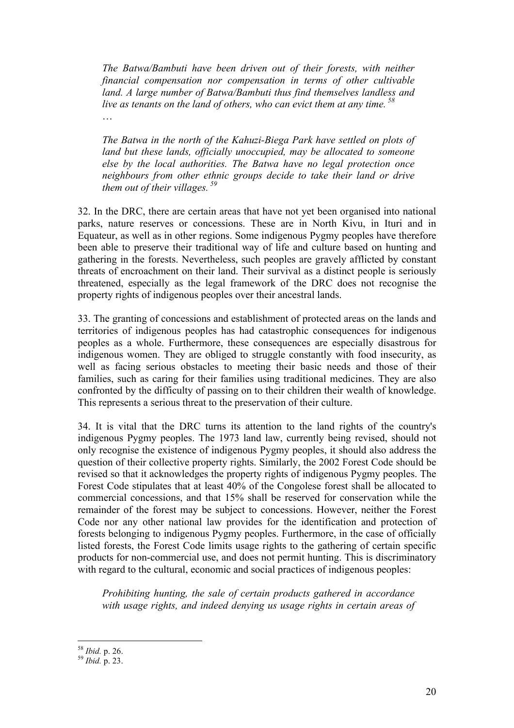*The Batwa/Bambuti have been driven out of their forests, with neither financial compensation nor compensation in terms of other cultivable land. A large number of Batwa/Bambuti thus find themselves landless and live as tenants on the land of others, who can evict them at any time. <sup>58</sup>* …

*The Batwa in the north of the Kahuzi-Biega Park have settled on plots of land but these lands, officially unoccupied, may be allocated to someone else by the local authorities. The Batwa have no legal protection once neighbours from other ethnic groups decide to take their land or drive them out of their villages. <sup>59</sup>*

32. In the DRC, there are certain areas that have not yet been organised into national parks, nature reserves or concessions. These are in North Kivu, in Ituri and in Equateur, as well as in other regions. Some indigenous Pygmy peoples have therefore been able to preserve their traditional way of life and culture based on hunting and gathering in the forests. Nevertheless, such peoples are gravely afflicted by constant threats of encroachment on their land. Their survival as a distinct people is seriously threatened, especially as the legal framework of the DRC does not recognise the property rights of indigenous peoples over their ancestral lands.

33. The granting of concessions and establishment of protected areas on the lands and territories of indigenous peoples has had catastrophic consequences for indigenous peoples as a whole. Furthermore, these consequences are especially disastrous for indigenous women. They are obliged to struggle constantly with food insecurity, as well as facing serious obstacles to meeting their basic needs and those of their families, such as caring for their families using traditional medicines. They are also confronted by the difficulty of passing on to their children their wealth of knowledge. This represents a serious threat to the preservation of their culture.

34. It is vital that the DRC turns its attention to the land rights of the country's indigenous Pygmy peoples. The 1973 land law, currently being revised, should not only recognise the existence of indigenous Pygmy peoples, it should also address the question of their collective property rights. Similarly, the 2002 Forest Code should be revised so that it acknowledges the property rights of indigenous Pygmy peoples. The Forest Code stipulates that at least 40% of the Congolese forest shall be allocated to commercial concessions, and that 15% shall be reserved for conservation while the remainder of the forest may be subject to concessions. However, neither the Forest Code nor any other national law provides for the identification and protection of forests belonging to indigenous Pygmy peoples. Furthermore, in the case of officially listed forests, the Forest Code limits usage rights to the gathering of certain specific products for non-commercial use, and does not permit hunting. This is discriminatory with regard to the cultural, economic and social practices of indigenous peoples:

*Prohibiting hunting, the sale of certain products gathered in accordance with usage rights, and indeed denying us usage rights in certain areas of* 

<sup>58</sup> *Ibid.* p. 26. <sup>59</sup> *Ibid.* p. 23.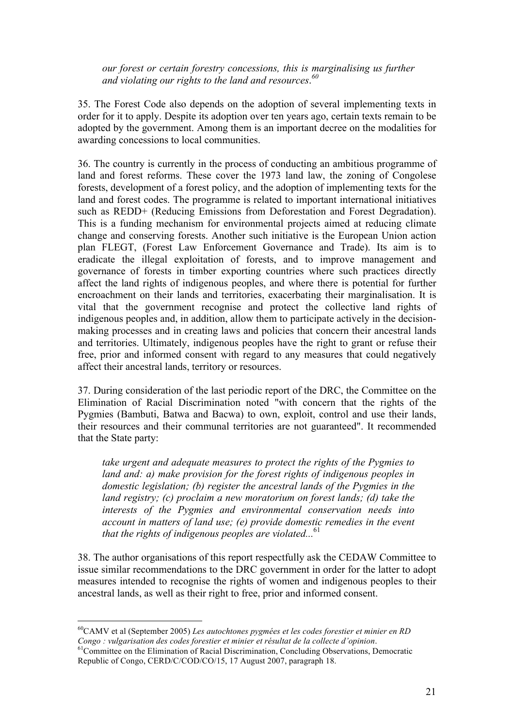*our forest or certain forestry concessions, this is marginalising us further and violating our rights to the land and resources*. *60*

35. The Forest Code also depends on the adoption of several implementing texts in order for it to apply. Despite its adoption over ten years ago, certain texts remain to be adopted by the government. Among them is an important decree on the modalities for awarding concessions to local communities.

36. The country is currently in the process of conducting an ambitious programme of land and forest reforms. These cover the 1973 land law, the zoning of Congolese forests, development of a forest policy, and the adoption of implementing texts for the land and forest codes. The programme is related to important international initiatives such as REDD+ (Reducing Emissions from Deforestation and Forest Degradation). This is a funding mechanism for environmental projects aimed at reducing climate change and conserving forests. Another such initiative is the European Union action plan FLEGT, (Forest Law Enforcement Governance and Trade). Its aim is to eradicate the illegal exploitation of forests, and to improve management and governance of forests in timber exporting countries where such practices directly affect the land rights of indigenous peoples, and where there is potential for further encroachment on their lands and territories, exacerbating their marginalisation. It is vital that the government recognise and protect the collective land rights of indigenous peoples and, in addition, allow them to participate actively in the decisionmaking processes and in creating laws and policies that concern their ancestral lands and territories. Ultimately, indigenous peoples have the right to grant or refuse their free, prior and informed consent with regard to any measures that could negatively affect their ancestral lands, territory or resources.

37. During consideration of the last periodic report of the DRC, the Committee on the Elimination of Racial Discrimination noted "with concern that the rights of the Pygmies (Bambuti, Batwa and Bacwa) to own, exploit, control and use their lands, their resources and their communal territories are not guaranteed". It recommended that the State party:

*take urgent and adequate measures to protect the rights of the Pygmies to land and: a) make provision for the forest rights of indigenous peoples in domestic legislation; (b) register the ancestral lands of the Pygmies in the land registry; (c) proclaim a new moratorium on forest lands; (d) take the interests of the Pygmies and environmental conservation needs into account in matters of land use; (e) provide domestic remedies in the event that the rights of indigenous peoples are violated...*<sup>61</sup>

38. The author organisations of this report respectfully ask the CEDAW Committee to issue similar recommendations to the DRC government in order for the latter to adopt measures intended to recognise the rights of women and indigenous peoples to their ancestral lands, as well as their right to free, prior and informed consent.

 <sup>60</sup>CAMV et al (September 2005) *Les autochtones pygmées et les codes forestier et minier en RD Congo : vulgarisation des codes forestier et minier et résultat de la collecte d'opinion*.<br><sup>61</sup>Committee on the Elimination of Racial Discrimination, Concluding Observations, Democratic

Republic of Congo, CERD/C/COD/CO/15, 17 August 2007, paragraph 18.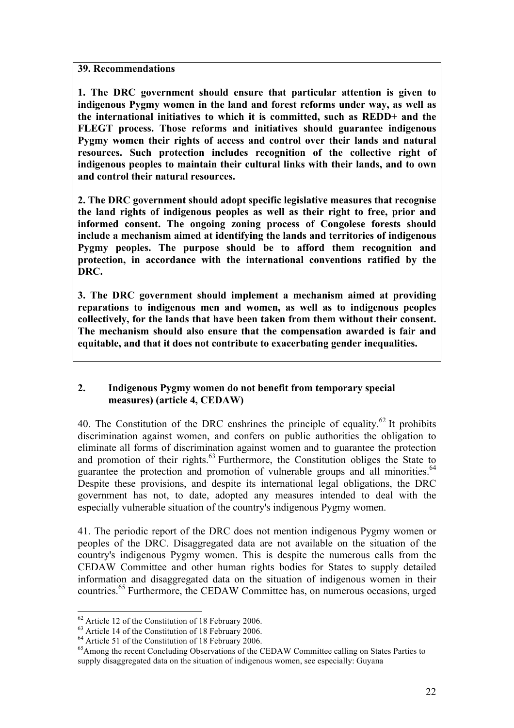**39. Recommendations**

**1. The DRC government should ensure that particular attention is given to indigenous Pygmy women in the land and forest reforms under way, as well as the international initiatives to which it is committed, such as REDD+ and the FLEGT process. Those reforms and initiatives should guarantee indigenous Pygmy women their rights of access and control over their lands and natural resources. Such protection includes recognition of the collective right of indigenous peoples to maintain their cultural links with their lands, and to own and control their natural resources.**

**2. The DRC government should adopt specific legislative measures that recognise the land rights of indigenous peoples as well as their right to free, prior and informed consent. The ongoing zoning process of Congolese forests should include a mechanism aimed at identifying the lands and territories of indigenous Pygmy peoples. The purpose should be to afford them recognition and protection, in accordance with the international conventions ratified by the DRC.** 

**3. The DRC government should implement a mechanism aimed at providing reparations to indigenous men and women, as well as to indigenous peoples collectively, for the lands that have been taken from them without their consent. The mechanism should also ensure that the compensation awarded is fair and equitable, and that it does not contribute to exacerbating gender inequalities.**

## **2. Indigenous Pygmy women do not benefit from temporary special measures) (article 4, CEDAW)**

40. The Constitution of the DRC enshrines the principle of equality.<sup>62</sup> It prohibits discrimination against women, and confers on public authorities the obligation to eliminate all forms of discrimination against women and to guarantee the protection and promotion of their rights. $63$  Furthermore, the Constitution obliges the State to guarantee the protection and promotion of vulnerable groups and all minorities.<sup>64</sup> Despite these provisions, and despite its international legal obligations, the DRC government has not, to date, adopted any measures intended to deal with the especially vulnerable situation of the country's indigenous Pygmy women.

41. The periodic report of the DRC does not mention indigenous Pygmy women or peoples of the DRC. Disaggregated data are not available on the situation of the country's indigenous Pygmy women. This is despite the numerous calls from the CEDAW Committee and other human rights bodies for States to supply detailed information and disaggregated data on the situation of indigenous women in their countries. <sup>65</sup> Furthermore, the CEDAW Committee has, on numerous occasions, urged

<sup>&</sup>lt;sup>62</sup> Article 12 of the Constitution of 18 February 2006.<br><sup>63</sup> Article 14 of the Constitution of 18 February 2006.<br><sup>64</sup> Article 51 of the Constitution of 18 February 2006.<br><sup>65</sup> Among the recent Concluding Observations of t supply disaggregated data on the situation of indigenous women, see especially: Guyana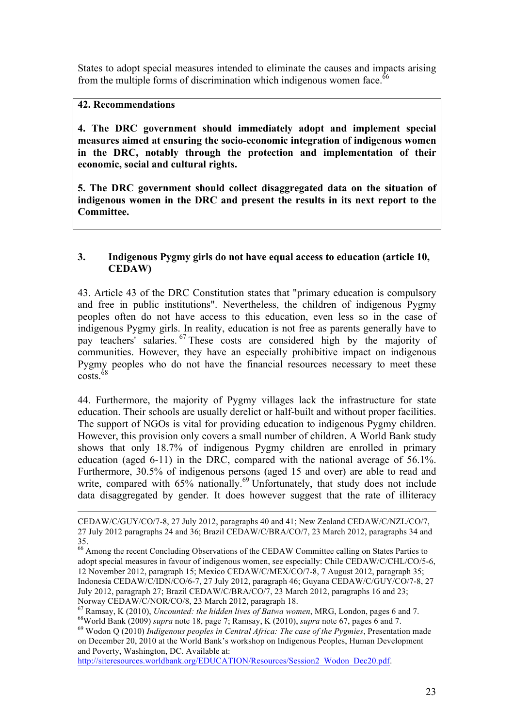States to adopt special measures intended to eliminate the causes and impacts arising from the multiple forms of discrimination which indigenous women face.<sup>66</sup>

## **42. Recommendations**

 $\overline{a}$ 

**4. The DRC government should immediately adopt and implement special measures aimed at ensuring the socio-economic integration of indigenous women in the DRC, notably through the protection and implementation of their economic, social and cultural rights.** 

**5. The DRC government should collect disaggregated data on the situation of indigenous women in the DRC and present the results in its next report to the Committee.**

#### **3. Indigenous Pygmy girls do not have equal access to education (article 10, CEDAW)**

43. Article 43 of the DRC Constitution states that "primary education is compulsory and free in public institutions". Nevertheless, the children of indigenous Pygmy peoples often do not have access to this education, even less so in the case of indigenous Pygmy girls. In reality, education is not free as parents generally have to pay teachers' salaries. <sup>67</sup> These costs are considered high by the majority of communities. However, they have an especially prohibitive impact on indigenous Pygmy peoples who do not have the financial resources necessary to meet these  $\csc 68$ 

44. Furthermore, the majority of Pygmy villages lack the infrastructure for state education. Their schools are usually derelict or half-built and without proper facilities. The support of NGOs is vital for providing education to indigenous Pygmy children. However, this provision only covers a small number of children. A World Bank study shows that only 18.7% of indigenous Pygmy children are enrolled in primary education (aged 6-11) in the DRC, compared with the national average of 56.1%. Furthermore, 30.5% of indigenous persons (aged 15 and over) are able to read and write, compared with  $65\%$  nationally.<sup>69</sup> Unfortunately, that study does not include data disaggregated by gender. It does however suggest that the rate of illiteracy

<sup>68</sup>World Bank (2009) supra note 18, page 7; Ramsay, K (2010), supra note 67, pages 6 and 7.<br><sup>69</sup> Wodon O (2010) *Indigenous peoples in Central Africa: The case of the Pygmies*, Presentation made on December 20, 2010 at the World Bank's workshop on Indigenous Peoples, Human Development and Poverty, Washington, DC. Available at:

http://siteresources.worldbank.org/EDUCATION/Resources/Session2\_Wodon\_Dec20.pdf.

CEDAW/C/GUY/CO/7-8, 27 July 2012, paragraphs 40 and 41; New Zealand CEDAW/C/NZL/CO/7, 27 July 2012 paragraphs 24 and 36; Brazil CEDAW/C/BRA/CO/7, 23 March 2012, paragraphs 34 and 35.

<sup>&</sup>lt;sup>66</sup> Among the recent Concluding Observations of the CEDAW Committee calling on States Parties to adopt special measures in favour of indigenous women, see especially: Chile CEDAW/C/CHL/CO/5-6, 12 November 2012, paragraph 15; Mexico CEDAW/C/MEX/CO/7-8, 7 August 2012, paragraph 35; Indonesia CEDAW/C/IDN/CO/6-7, 27 July 2012, paragraph 46; Guyana CEDAW/C/GUY/CO/7-8, 27 July 2012, paragraph 27; Brazil CEDAW/C/BRA/CO/7, 23 March 2012, paragraphs 16 and 23;

Norway CEDAW/C/NOR/CO/8, 23 March 2012, paragraph 18.<br><sup>67</sup> Ramsay, K (2010), *Uncounted: the hidden lives of Batwa women*, MRG, London, pages 6 and 7.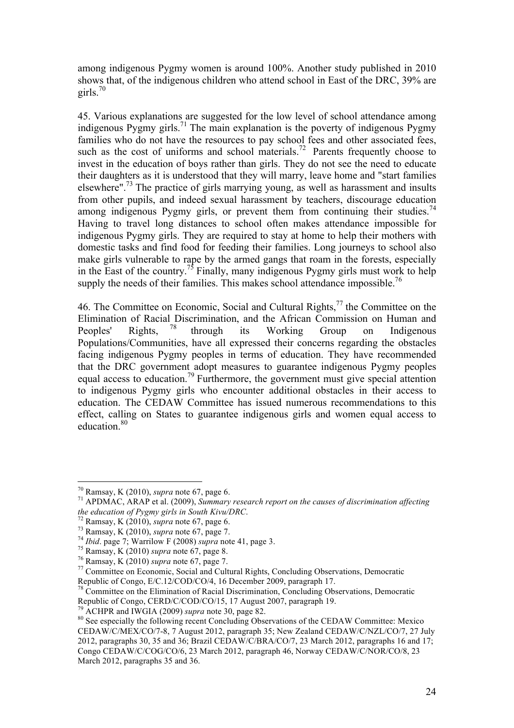among indigenous Pygmy women is around 100%. Another study published in 2010 shows that, of the indigenous children who attend school in East of the DRC, 39% are girls. $70$ 

45. Various explanations are suggested for the low level of school attendance among indigenous Pygmy girls.<sup>71</sup> The main explanation is the poverty of indigenous Pygmy families who do not have the resources to pay school fees and other associated fees, such as the cost of uniforms and school materials.<sup>72</sup> Parents frequently choose to invest in the education of boys rather than girls. They do not see the need to educate their daughters as it is understood that they will marry, leave home and "start families elsewhere".<sup>73</sup> The practice of girls marrying young, as well as harassment and insults from other pupils, and indeed sexual harassment by teachers, discourage education among indigenous Pygmy girls, or prevent them from continuing their studies.<sup>74</sup> Having to travel long distances to school often makes attendance impossible for indigenous Pygmy girls. They are required to stay at home to help their mothers with domestic tasks and find food for feeding their families. Long journeys to school also make girls vulnerable to rape by the armed gangs that roam in the forests, especially in the East of the country.<sup>75</sup> Finally, many indigenous Pygmy girls must work to help supply the needs of their families. This makes school attendance impossible.<sup>76</sup>

46. The Committee on Economic, Social and Cultural Rights,<sup>77</sup> the Committee on the Elimination of Racial Discrimination, and the African Commission on Human and<br>Peoples' Rights <sup>78</sup> through its Working Group on Indigenous Peoples' Rights, <sup>78</sup> through its Working Group on Indigenous Populations/Communities, have all expressed their concerns regarding the obstacles facing indigenous Pygmy peoples in terms of education. They have recommended that the DRC government adopt measures to guarantee indigenous Pygmy peoples equal access to education.<sup>79</sup> Furthermore, the government must give special attention to indigenous Pygmy girls who encounter additional obstacles in their access to education. The CEDAW Committee has issued numerous recommendations to this effect, calling on States to guarantee indigenous girls and women equal access to education.<sup>80</sup>

<sup>&</sup>lt;sup>70</sup> Ramsay, K (2010), *supra* note 67, page 6.<br><sup>71</sup> APDMAC, ARAP et al. (2009), *Summary research report on the causes of discrimination affecting*<br>*the education of Pygmy girls in South Kivu/DRC*.

<sup>&</sup>lt;sup>72</sup> Ramsay, K (2010), *supra* note 67, page 6.<br>
<sup>73</sup> Ramsay, K (2010), *supra* note 67, page 7.<br>
<sup>74</sup> Ibid. page 7; Warrilow F (2008) *supra* note 41, page 3.<br>
<sup>75</sup> Ramsay, K (2010) *supra* note 67, page 8.<br>
<sup>76</sup> Ramsay, Republic of Congo, E/C.12/COD/CO/4, 16 December 2009, paragraph 17.

<sup>&</sup>lt;sup>78</sup> Committee on the Elimination of Racial Discrimination, Concluding Observations, Democratic Republic of Congo, CERD/C/COD/CO/15, 17 August 2007, paragraph 19.<br><sup>79</sup> ACHPR and IWGIA (2009) *supra* note 30, page 82.

<sup>&</sup>lt;sup>80</sup> See especially the following recent Concluding Observations of the CEDAW Committee: Mexico CEDAW/C/MEX/CO/7-8, 7 August 2012, paragraph 35; New Zealand CEDAW/C/NZL/CO/7, 27 July 2012, paragraphs 30, 35 and 36; Brazil CEDAW/C/BRA/CO/7, 23 March 2012, paragraphs 16 and 17; Congo CEDAW/C/COG/CO/6, 23 March 2012, paragraph 46, Norway CEDAW/C/NOR/CO/8, 23 March 2012, paragraphs 35 and 36.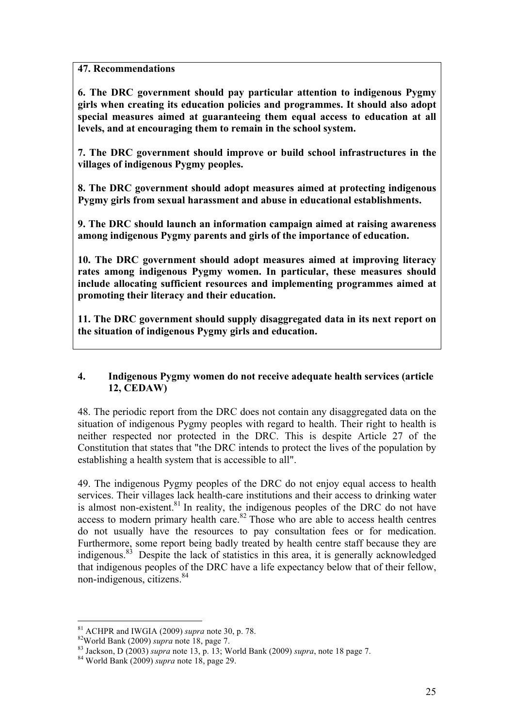## **47. Recommendations**

**6. The DRC government should pay particular attention to indigenous Pygmy girls when creating its education policies and programmes. It should also adopt special measures aimed at guaranteeing them equal access to education at all levels, and at encouraging them to remain in the school system.**

**7. The DRC government should improve or build school infrastructures in the villages of indigenous Pygmy peoples.**

**8. The DRC government should adopt measures aimed at protecting indigenous Pygmy girls from sexual harassment and abuse in educational establishments.**

**9. The DRC should launch an information campaign aimed at raising awareness among indigenous Pygmy parents and girls of the importance of education.** 

**10. The DRC government should adopt measures aimed at improving literacy rates among indigenous Pygmy women. In particular, these measures should include allocating sufficient resources and implementing programmes aimed at promoting their literacy and their education.** 

**11. The DRC government should supply disaggregated data in its next report on the situation of indigenous Pygmy girls and education.**

#### **4. Indigenous Pygmy women do not receive adequate health services (article 12, CEDAW)**

48. The periodic report from the DRC does not contain any disaggregated data on the situation of indigenous Pygmy peoples with regard to health. Their right to health is neither respected nor protected in the DRC. This is despite Article 27 of the Constitution that states that "the DRC intends to protect the lives of the population by establishing a health system that is accessible to all".

49. The indigenous Pygmy peoples of the DRC do not enjoy equal access to health services. Their villages lack health-care institutions and their access to drinking water is almost non-existent. $81$  In reality, the indigenous peoples of the DRC do not have access to modern primary health care.<sup>82</sup> Those who are able to access health centres do not usually have the resources to pay consultation fees or for medication. Furthermore, some report being badly treated by health centre staff because they are indigenous.83 Despite the lack of statistics in this area, it is generally acknowledged that indigenous peoples of the DRC have a life expectancy below that of their fellow, non-indigenous, citizens.<sup>84</sup>

<sup>&</sup>lt;sup>81</sup> ACHPR and IWGIA (2009) *supra* note 30, p. 78.<br><sup>82</sup>World Bank (2009) *supra* note 18, page 7.<br><sup>83</sup> Jackson, D (2003) *supra* note 13, p. 13; World Bank (2009) *supra*, note 18 page 7.<br><sup>84</sup> World Bank (2009) *supra* n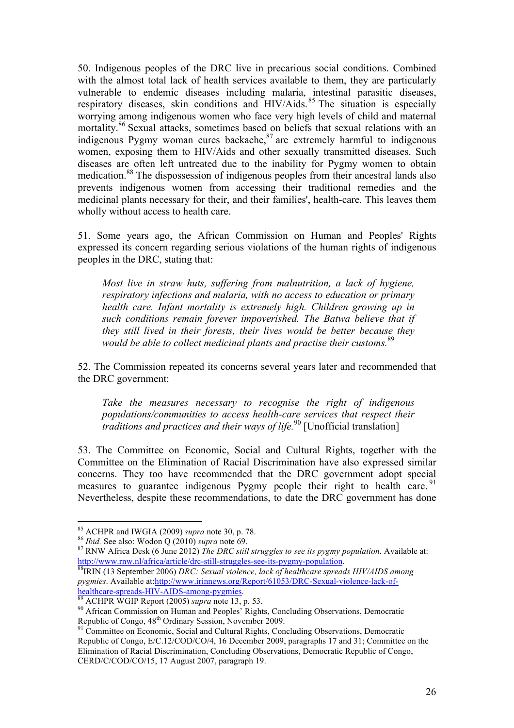50. Indigenous peoples of the DRC live in precarious social conditions. Combined with the almost total lack of health services available to them, they are particularly vulnerable to endemic diseases including malaria, intestinal parasitic diseases, respiratory diseases, skin conditions and HIV/Aids.<sup>85</sup> The situation is especially worrying among indigenous women who face very high levels of child and maternal mortality.<sup>86</sup> Sexual attacks, sometimes based on beliefs that sexual relations with an indigenous Pygmy woman cures backache,<sup>87</sup> are extremely harmful to indigenous women, exposing them to HIV/Aids and other sexually transmitted diseases. Such diseases are often left untreated due to the inability for Pygmy women to obtain medication.<sup>88</sup> The dispossession of indigenous peoples from their ancestral lands also prevents indigenous women from accessing their traditional remedies and the medicinal plants necessary for their, and their families', health-care. This leaves them wholly without access to health care.

51. Some years ago, the African Commission on Human and Peoples' Rights expressed its concern regarding serious violations of the human rights of indigenous peoples in the DRC, stating that:

*Most live in straw huts, suffering from malnutrition, a lack of hygiene, respiratory infections and malaria, with no access to education or primary health care. Infant mortality is extremely high. Children growing up in such conditions remain forever impoverished. The Batwa believe that if they still lived in their forests, their lives would be better because they would be able to collect medicinal plants and practise their customs.*<sup>89</sup>

52. The Commission repeated its concerns several years later and recommended that the DRC government:

*Take the measures necessary to recognise the right of indigenous populations/communities to access health-care services that respect their traditions and practices and their ways of life.*<sup>90</sup> [Unofficial translation]

53. The Committee on Economic, Social and Cultural Rights, together with the Committee on the Elimination of Racial Discrimination have also expressed similar concerns. They too have recommended that the DRC government adopt special measures to guarantee indigenous Pygmy people their right to health care.<sup>91</sup> Nevertheless, despite these recommendations, to date the DRC government has done

<sup>&</sup>lt;sup>85</sup> ACHPR and IWGIA (2009) *supra* note 30, p. 78.<br><sup>86</sup> *Ibid.* See also: Wodon Q (2010) *supra* note 69.<br><sup>87</sup> RNW Africa Desk (6 June 2012) *The DRC still struggles to see its pygmy population*. Available at: http://www.rnw.nl/africa/article/drc-still-struggles-see-its-pygmy-population. 88IRIN (13 September 2006) *DRC: Sexual violence, lack of healthcare spreads HIV/AIDS among* 

*pygmies*. Available at:http://www.irinnews.org/Report/61053/DRC-Sexual-violence-lack-of-healthcare-spreads-HIV-AIDS-among-pygmies.

<sup>&</sup>lt;sup>89</sup> ACHPR WGIP Report (2005) *supra* note 13, p. 53.<br><sup>90</sup> African Commission on Human and Peoples' Rights, Concluding Observations, Democratic Republic of Congo, 48<sup>th</sup> Ordinary Session, November 2009.

 $\frac{91}{20}$  Committee on Economic, Social and Cultural Rights, Concluding Observations, Democratic Republic of Congo, E/C.12/COD/CO/4, 16 December 2009, paragraphs 17 and 31; Committee on the Elimination of Racial Discrimination, Concluding Observations, Democratic Republic of Congo, CERD/C/COD/CO/15, 17 August 2007, paragraph 19.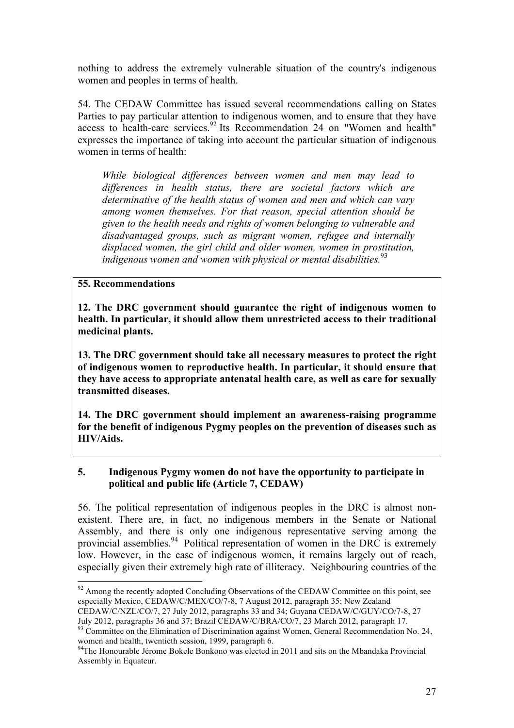nothing to address the extremely vulnerable situation of the country's indigenous women and peoples in terms of health.

54. The CEDAW Committee has issued several recommendations calling on States Parties to pay particular attention to indigenous women, and to ensure that they have access to health-care services.<sup>92</sup> Its Recommendation 24 on "Women and health" expresses the importance of taking into account the particular situation of indigenous women in terms of health:

*While biological differences between women and men may lead to differences in health status, there are societal factors which are determinative of the health status of women and men and which can vary among women themselves. For that reason, special attention should be given to the health needs and rights of women belonging to vulnerable and disadvantaged groups, such as migrant women, refugee and internally displaced women, the girl child and older women, women in prostitution, indigenous women and women with physical or mental disabilities.*<sup>93</sup>

#### **55. Recommendations**

**12. The DRC government should guarantee the right of indigenous women to health. In particular, it should allow them unrestricted access to their traditional medicinal plants.**

**13. The DRC government should take all necessary measures to protect the right of indigenous women to reproductive health. In particular, it should ensure that they have access to appropriate antenatal health care, as well as care for sexually transmitted diseases.** 

**14. The DRC government should implement an awareness-raising programme for the benefit of indigenous Pygmy peoples on the prevention of diseases such as HIV/Aids.**

#### **5. Indigenous Pygmy women do not have the opportunity to participate in political and public life (Article 7, CEDAW)**

56. The political representation of indigenous peoples in the DRC is almost nonexistent. There are, in fact, no indigenous members in the Senate or National Assembly, and there is only one indigenous representative serving among the provincial assemblies.<sup>94</sup> Political representation of women in the DRC is extremely low. However, in the case of indigenous women, it remains largely out of reach, especially given their extremely high rate of illiteracy. Neighbouring countries of the

CEDAW/C/NZL/CO/7, 27 July 2012, paragraphs 33 and 34; Guyana CEDAW/C/GUY/CO/7-8, 27<br>July 2012, paragraphs 36 and 37: Brazil CEDAW/C/BRA/CO/7, 23 March 2012, paragraph 17.

 $92$  Among the recently adopted Concluding Observations of the CEDAW Committee on this point, see especially Mexico, CEDAW/C/MEX/CO/7-8, 7 August 2012, paragraph 35; New Zealand

 $\frac{93}{22}$  Committee on the Elimination of Discrimination against Women, General Recommendation No. 24, women and health, twentieth session, 1999, paragraph 6.

<sup>&</sup>lt;sup>94</sup>The Honourable Jérome Bokele Bonkono was elected in 2011 and sits on the Mbandaka Provincial Assembly in Equateur.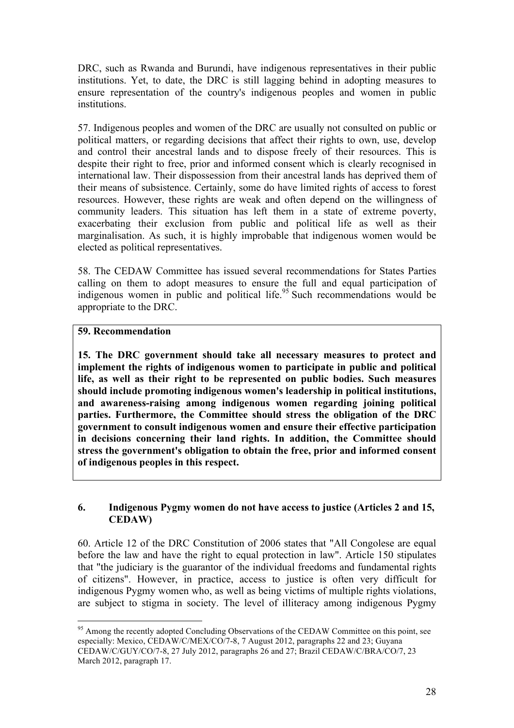DRC, such as Rwanda and Burundi, have indigenous representatives in their public institutions. Yet, to date, the DRC is still lagging behind in adopting measures to ensure representation of the country's indigenous peoples and women in public institutions.

57. Indigenous peoples and women of the DRC are usually not consulted on public or political matters, or regarding decisions that affect their rights to own, use, develop and control their ancestral lands and to dispose freely of their resources. This is despite their right to free, prior and informed consent which is clearly recognised in international law. Their dispossession from their ancestral lands has deprived them of their means of subsistence. Certainly, some do have limited rights of access to forest resources. However, these rights are weak and often depend on the willingness of community leaders. This situation has left them in a state of extreme poverty, exacerbating their exclusion from public and political life as well as their marginalisation. As such, it is highly improbable that indigenous women would be elected as political representatives.

58. The CEDAW Committee has issued several recommendations for States Parties calling on them to adopt measures to ensure the full and equal participation of indigenous women in public and political life.<sup>95</sup> Such recommendations would be appropriate to the DRC.

#### **59. Recommendation**

**15. The DRC government should take all necessary measures to protect and implement the rights of indigenous women to participate in public and political life, as well as their right to be represented on public bodies. Such measures should include promoting indigenous women's leadership in political institutions, and awareness-raising among indigenous women regarding joining political parties. Furthermore, the Committee should stress the obligation of the DRC government to consult indigenous women and ensure their effective participation in decisions concerning their land rights. In addition, the Committee should stress the government's obligation to obtain the free, prior and informed consent of indigenous peoples in this respect.**

#### **6. Indigenous Pygmy women do not have access to justice (Articles 2 and 15, CEDAW)**

60. Article 12 of the DRC Constitution of 2006 states that "All Congolese are equal before the law and have the right to equal protection in law". Article 150 stipulates that "the judiciary is the guarantor of the individual freedoms and fundamental rights of citizens". However, in practice, access to justice is often very difficult for indigenous Pygmy women who, as well as being victims of multiple rights violations, are subject to stigma in society. The level of illiteracy among indigenous Pygmy

<sup>&</sup>lt;sup>95</sup> Among the recently adopted Concluding Observations of the CEDAW Committee on this point, see especially: Mexico, CEDAW/C/MEX/CO/7-8, 7 August 2012, paragraphs 22 and 23; Guyana CEDAW/C/GUY/CO/7-8, 27 July 2012, paragraphs 26 and 27; Brazil CEDAW/C/BRA/CO/7, 23 March 2012, paragraph 17.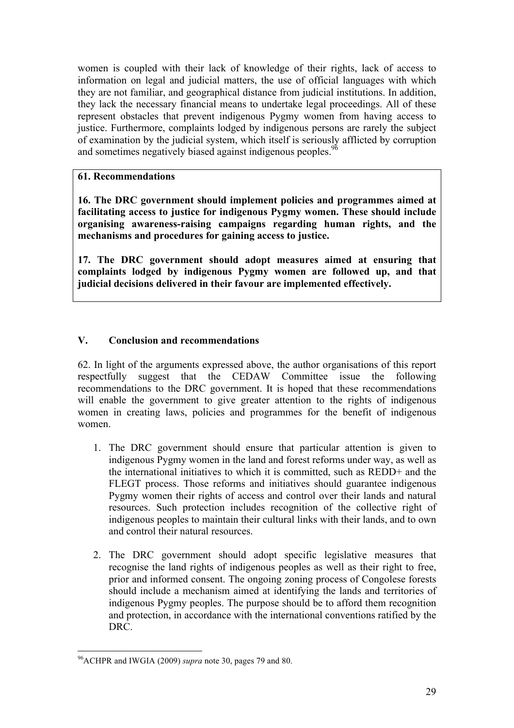women is coupled with their lack of knowledge of their rights, lack of access to information on legal and judicial matters, the use of official languages with which they are not familiar, and geographical distance from judicial institutions. In addition, they lack the necessary financial means to undertake legal proceedings. All of these represent obstacles that prevent indigenous Pygmy women from having access to justice. Furthermore, complaints lodged by indigenous persons are rarely the subject of examination by the judicial system, which itself is seriously afflicted by corruption and sometimes negatively biased against indigenous peoples.<sup>96</sup>

## **61. Recommendations**

**16. The DRC government should implement policies and programmes aimed at facilitating access to justice for indigenous Pygmy women. These should include organising awareness-raising campaigns regarding human rights, and the mechanisms and procedures for gaining access to justice.**

**17. The DRC government should adopt measures aimed at ensuring that complaints lodged by indigenous Pygmy women are followed up, and that judicial decisions delivered in their favour are implemented effectively.**

# **V. Conclusion and recommendations**

62. In light of the arguments expressed above, the author organisations of this report respectfully suggest that the CEDAW Committee issue the following recommendations to the DRC government. It is hoped that these recommendations will enable the government to give greater attention to the rights of indigenous women in creating laws, policies and programmes for the benefit of indigenous women.

- 1. The DRC government should ensure that particular attention is given to indigenous Pygmy women in the land and forest reforms under way, as well as the international initiatives to which it is committed, such as REDD+ and the FLEGT process. Those reforms and initiatives should guarantee indigenous Pygmy women their rights of access and control over their lands and natural resources. Such protection includes recognition of the collective right of indigenous peoples to maintain their cultural links with their lands, and to own and control their natural resources.
- 2. The DRC government should adopt specific legislative measures that recognise the land rights of indigenous peoples as well as their right to free, prior and informed consent. The ongoing zoning process of Congolese forests should include a mechanism aimed at identifying the lands and territories of indigenous Pygmy peoples. The purpose should be to afford them recognition and protection, in accordance with the international conventions ratified by the DRC.

 <sup>96</sup>ACHPR and IWGIA (2009) *supra* note 30, pages 79 and 80.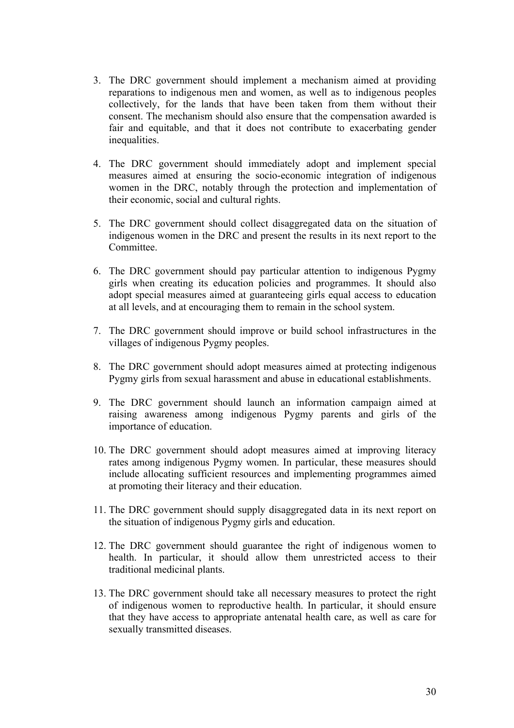- 3. The DRC government should implement a mechanism aimed at providing reparations to indigenous men and women, as well as to indigenous peoples collectively, for the lands that have been taken from them without their consent. The mechanism should also ensure that the compensation awarded is fair and equitable, and that it does not contribute to exacerbating gender inequalities.
- 4. The DRC government should immediately adopt and implement special measures aimed at ensuring the socio-economic integration of indigenous women in the DRC, notably through the protection and implementation of their economic, social and cultural rights.
- 5. The DRC government should collect disaggregated data on the situation of indigenous women in the DRC and present the results in its next report to the Committee.
- 6. The DRC government should pay particular attention to indigenous Pygmy girls when creating its education policies and programmes. It should also adopt special measures aimed at guaranteeing girls equal access to education at all levels, and at encouraging them to remain in the school system.
- 7. The DRC government should improve or build school infrastructures in the villages of indigenous Pygmy peoples.
- 8. The DRC government should adopt measures aimed at protecting indigenous Pygmy girls from sexual harassment and abuse in educational establishments.
- 9. The DRC government should launch an information campaign aimed at raising awareness among indigenous Pygmy parents and girls of the importance of education.
- 10. The DRC government should adopt measures aimed at improving literacy rates among indigenous Pygmy women. In particular, these measures should include allocating sufficient resources and implementing programmes aimed at promoting their literacy and their education.
- 11. The DRC government should supply disaggregated data in its next report on the situation of indigenous Pygmy girls and education.
- 12. The DRC government should guarantee the right of indigenous women to health. In particular, it should allow them unrestricted access to their traditional medicinal plants.
- 13. The DRC government should take all necessary measures to protect the right of indigenous women to reproductive health. In particular, it should ensure that they have access to appropriate antenatal health care, as well as care for sexually transmitted diseases.